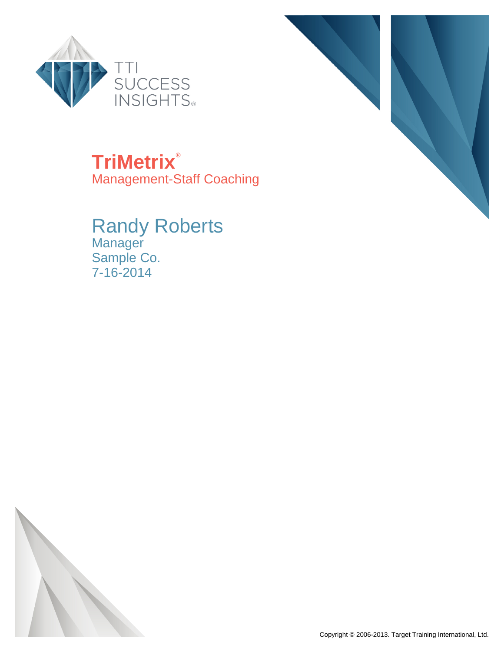



**TriMetrix**® Management-Staff Coaching

Randy Roberts Manager Sample Co. 7-16-2014

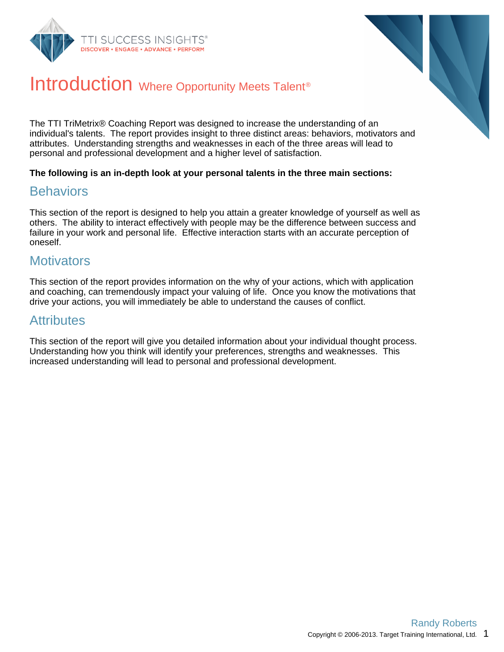



### Introduction Where Opportunity Meets Talent<sup>®</sup>

The TTI TriMetrix® Coaching Report was designed to increase the understanding of an individual's talents. The report provides insight to three distinct areas: behaviors, motivators and attributes. Understanding strengths and weaknesses in each of the three areas will lead to personal and professional development and a higher level of satisfaction.

#### **The following is an in-depth look at your personal talents in the three main sections:**

#### **Behaviors**

This section of the report is designed to help you attain a greater knowledge of yourself as well as others. The ability to interact effectively with people may be the difference between success and failure in your work and personal life. Effective interaction starts with an accurate perception of oneself.

#### **Motivators**

This section of the report provides information on the why of your actions, which with application and coaching, can tremendously impact your valuing of life. Once you know the motivations that drive your actions, you will immediately be able to understand the causes of conflict.

#### **Attributes**

This section of the report will give you detailed information about your individual thought process. Understanding how you think will identify your preferences, strengths and weaknesses. This increased understanding will lead to personal and professional development.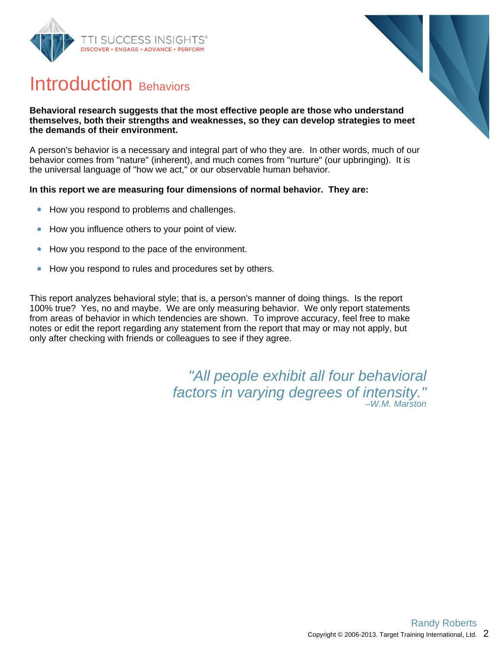



### Introduction Behaviors

#### **Behavioral research suggests that the most effective people are those who understand themselves, both their strengths and weaknesses, so they can develop strategies to meet the demands of their environment.**

A person's behavior is a necessary and integral part of who they are. In other words, much of our behavior comes from "nature" (inherent), and much comes from "nurture" (our upbringing). It is the universal language of "how we act," or our observable human behavior.

#### **In this report we are measuring four dimensions of normal behavior. They are:**

- How you respond to problems and challenges.  $\bullet$
- How you influence others to your point of view.  $\bullet$
- How you respond to the pace of the environment.  $\bullet$
- How you respond to rules and procedures set by others.  $\bullet$

This report analyzes behavioral style; that is, a person's manner of doing things. Is the report 100% true? Yes, no and maybe. We are only measuring behavior. We only report statements from areas of behavior in which tendencies are shown. To improve accuracy, feel free to make notes or edit the report regarding any statement from the report that may or may not apply, but only after checking with friends or colleagues to see if they agree.

> "All people exhibit all four behavioral factors in varying degrees of intensity." –W.M. Marston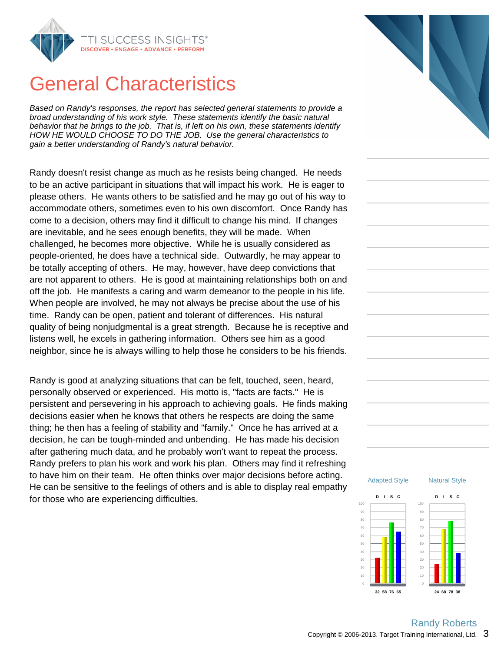

### General Characteristics

Based on Randy's responses, the report has selected general statements to provide a broad understanding of his work style. These statements identify the basic natural behavior that he brings to the job. That is, if left on his own, these statements identify HOW HE WOULD CHOOSE TO DO THE JOB. Use the general characteristics to gain a better understanding of Randy's natural behavior.

Randy doesn't resist change as much as he resists being changed. He needs to be an active participant in situations that will impact his work. He is eager to please others. He wants others to be satisfied and he may go out of his way to accommodate others, sometimes even to his own discomfort. Once Randy has come to a decision, others may find it difficult to change his mind. If changes are inevitable, and he sees enough benefits, they will be made. When challenged, he becomes more objective. While he is usually considered as people-oriented, he does have a technical side. Outwardly, he may appear to be totally accepting of others. He may, however, have deep convictions that are not apparent to others. He is good at maintaining relationships both on and off the job. He manifests a caring and warm demeanor to the people in his life. When people are involved, he may not always be precise about the use of his time. Randy can be open, patient and tolerant of differences. His natural quality of being nonjudgmental is a great strength. Because he is receptive and listens well, he excels in gathering information. Others see him as a good neighbor, since he is always willing to help those he considers to be his friends.

Randy is good at analyzing situations that can be felt, touched, seen, heard, personally observed or experienced. His motto is, "facts are facts." He is persistent and persevering in his approach to achieving goals. He finds making decisions easier when he knows that others he respects are doing the same thing; he then has a feeling of stability and "family." Once he has arrived at a decision, he can be tough-minded and unbending. He has made his decision after gathering much data, and he probably won't want to repeat the process. Randy prefers to plan his work and work his plan. Others may find it refreshing to have him on their team. He often thinks over major decisions before acting. He can be sensitive to the feelings of others and is able to display real empathy for those who are experiencing difficulties.



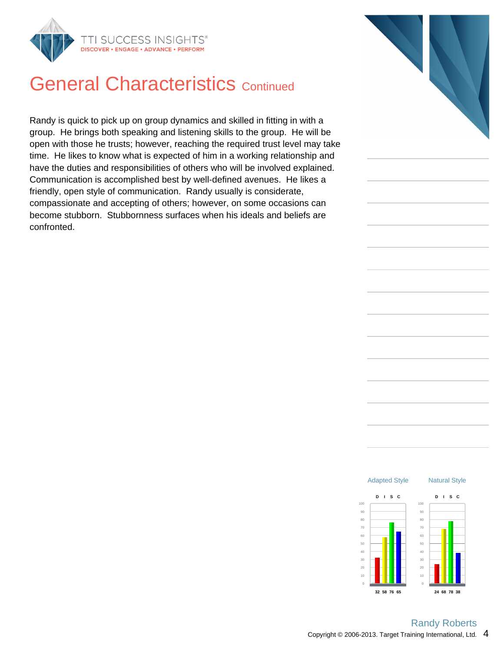

### **General Characteristics Continued**

Randy is quick to pick up on group dynamics and skilled in fitting in with a group. He brings both speaking and listening skills to the group. He will be open with those he trusts; however, reaching the required trust level may take time. He likes to know what is expected of him in a working relationship and have the duties and responsibilities of others who will be involved explained. Communication is accomplished best by well-defined avenues. He likes a friendly, open style of communication. Randy usually is considerate, compassionate and accepting of others; however, on some occasions can become stubborn. Stubbornness surfaces when his ideals and beliefs are confronted.



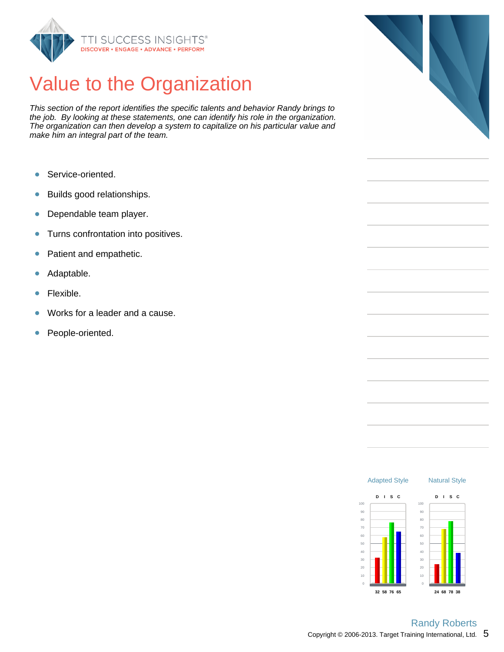

# Value to the Organization

This section of the report identifies the specific talents and behavior Randy brings to the job. By looking at these statements, one can identify his role in the organization. The organization can then develop a system to capitalize on his particular value and make him an integral part of the team.

- Service-oriented.  $\bullet$
- Builds good relationships.  $\bullet$
- Dependable team player.  $\bullet$
- Turns confrontation into positives.  $\bullet$
- Patient and empathetic.  $\bullet$
- Adaptable.  $\bullet$
- $\bullet$ Flexible.
- Works for a leader and a cause.  $\bullet$
- People-oriented.  $\bullet$



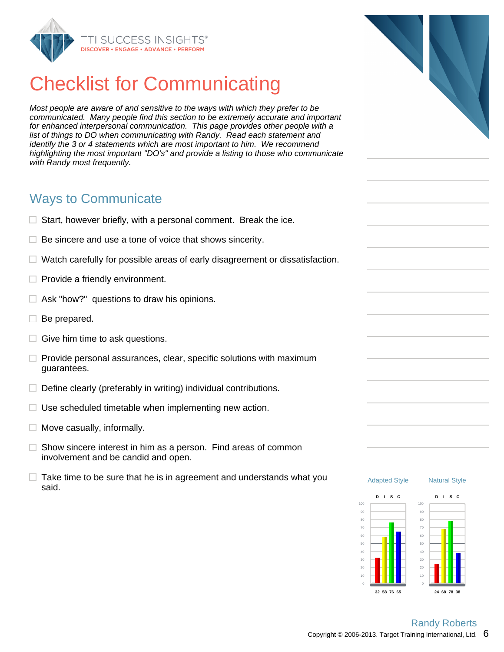

# Checklist for Communicating

Most people are aware of and sensitive to the ways with which they prefer to be communicated. Many people find this section to be extremely accurate and important for enhanced interpersonal communication. This page provides other people with a list of things to DO when communicating with Randy. Read each statement and identify the 3 or 4 statements which are most important to him. We recommend highlighting the most important "DO's" and provide a listing to those who communicate with Randy most frequently.

### Ways to Communicate

- $\Box$  Start, however briefly, with a personal comment. Break the ice.
- $\Box$  Be sincere and use a tone of voice that shows sincerity.
- Watch carefully for possible areas of early disagreement or dissatisfaction. Π.
- $\Box$  Provide a friendly environment.
- $\Box$  Ask "how?" questions to draw his opinions.
- $\Box$  Be prepared.
- $\Box$  Give him time to ask questions.
- $\Box$  Provide personal assurances, clear, specific solutions with maximum guarantees.
- $\Box$  Define clearly (preferably in writing) individual contributions.
- $\Box$  Use scheduled timetable when implementing new action.
- $\Box$  Move casually, informally.
- $\Box$  Show sincere interest in him as a person. Find areas of common involvement and be candid and open.
- $\Box$  Take time to be sure that he is in agreement and understands what you said.

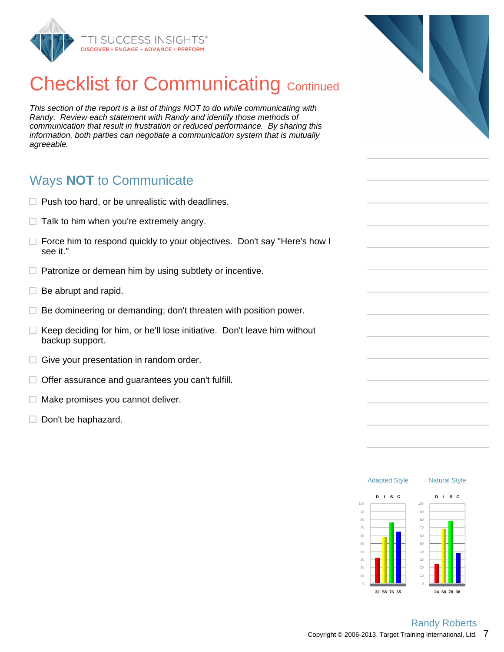

# **Checklist for Communicating Continued**

This section of the report is a list of things NOT to do while communicating with Randy. Review each statement with Randy and identify those methods of communication that result in frustration or reduced performance. By sharing this information, both parties can negotiate a communication system that is mutually agreeable.

### Ways **NOT** to Communicate

- $\Box$  Push too hard, or be unrealistic with deadlines.
- $\Box$  Talk to him when you're extremely angry.
- $\Box$  Force him to respond quickly to your objectives. Don't say "Here's how I see it."
- $\Box$  Patronize or demean him by using subtlety or incentive.
- $\Box$  Be abrupt and rapid.
- п Be domineering or demanding; don't threaten with position power.
- $\Box$  Keep deciding for him, or he'll lose initiative. Don't leave him without backup support.
- $\Box$  Give your presentation in random order.
- $\Box$  Offer assurance and guarantees you can't fulfill.
- $\Box$  Make promises you cannot deliver.
- $\Box$  Don't be haphazard.



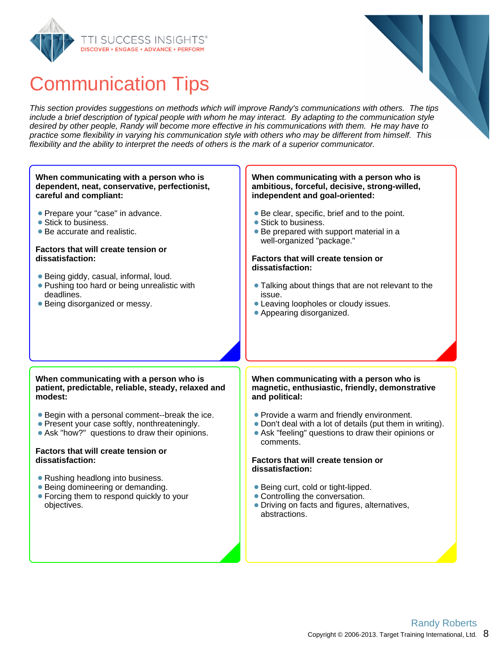



## Communication Tips

This section provides suggestions on methods which will improve Randy's communications with others. The tips include a brief description of typical people with whom he may interact. By adapting to the communication style desired by other people, Randy will become more effective in his communications with them. He may have to practice some flexibility in varying his communication style with others who may be different from himself. This flexibility and the ability to interpret the needs of others is the mark of a superior communicator.

#### **When communicating with a person who is dependent, neat, conservative, perfectionist, careful and compliant:**

- **Prepare your "case" in advance.**
- Stick to business.
- Be accurate and realistic.

#### **Factors that will create tension or dissatisfaction:**

- Being giddy, casual, informal, loud.
- **Pushing too hard or being unrealistic with** deadlines.
- Being disorganized or messy.

#### **When communicating with a person who is ambitious, forceful, decisive, strong-willed, independent and goal-oriented:**

- Be clear, specific, brief and to the point.
- Stick to business.
- Be prepared with support material in a well-organized "package."

#### **Factors that will create tension or dissatisfaction:**

- Talking about things that are not relevant to the issue.
- Leaving loopholes or cloudy issues.
- Appearing disorganized.

#### **When communicating with a person who is patient, predictable, reliable, steady, relaxed and modest:**

- Begin with a personal comment--break the ice.
- Present your case softly, nonthreateningly.
- Ask "how?" questions to draw their opinions.

#### **Factors that will create tension or dissatisfaction:**

- Rushing headlong into business.
- Being domineering or demanding.
- Forcing them to respond quickly to your objectives.

#### **When communicating with a person who is magnetic, enthusiastic, friendly, demonstrative and political:**

- Provide a warm and friendly environment.
- Don't deal with a lot of details (put them in writing).
- Ask "feeling" questions to draw their opinions or comments.

#### **Factors that will create tension or dissatisfaction:**

- Being curt, cold or tight-lipped.
- Controlling the conversation.
- Driving on facts and figures, alternatives, abstractions.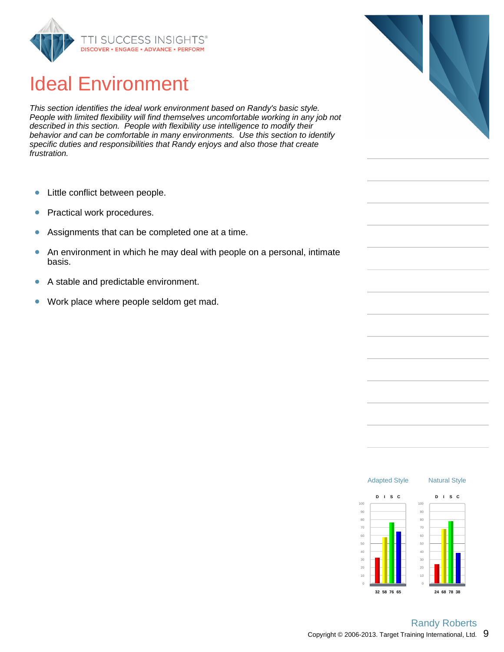

## Ideal Environment

This section identifies the ideal work environment based on Randy's basic style. People with limited flexibility will find themselves uncomfortable working in any job not described in this section. People with flexibility use intelligence to modify their behavior and can be comfortable in many environments. Use this section to identify specific duties and responsibilities that Randy enjoys and also those that create frustration.

- Little conflict between people.  $\bullet$
- Practical work procedures.  $\bullet$
- Assignments that can be completed one at a time.  $\bullet$
- $\bullet$ An environment in which he may deal with people on a personal, intimate basis.
- A stable and predictable environment.  $\bullet$
- Work place where people seldom get mad.  $\bullet$



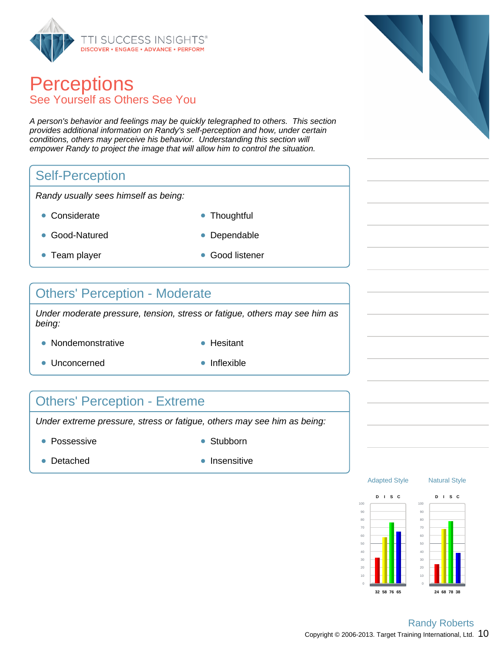

### **Perceptions** See Yourself as Others See You

A person's behavior and feelings may be quickly telegraphed to others. This section provides additional information on Randy's self-perception and how, under certain conditions, others may perceive his behavior. Understanding this section will empower Randy to project the image that will allow him to control the situation.

### Self-Perception

Randy usually sees himself as being:

- Considerate **Thoughtful**
- 
- Good-Natured **Dependable**
- Team player Good listener
- 

### Others' Perception - Moderate

Under moderate pressure, tension, stress or fatigue, others may see him as being:

- Nondemonstrative **Hesitant** 
	-
- Unconcerned **Inflexible** 
	-

### Others' Perception - Extreme

Under extreme pressure, stress or fatigue, others may see him as being:

- Possessive **Stubborn** 
	-

- 
- Detached **Insensitive**







Copyright © 2006-2013. Target Training International, Ltd.  $10$ Randy Roberts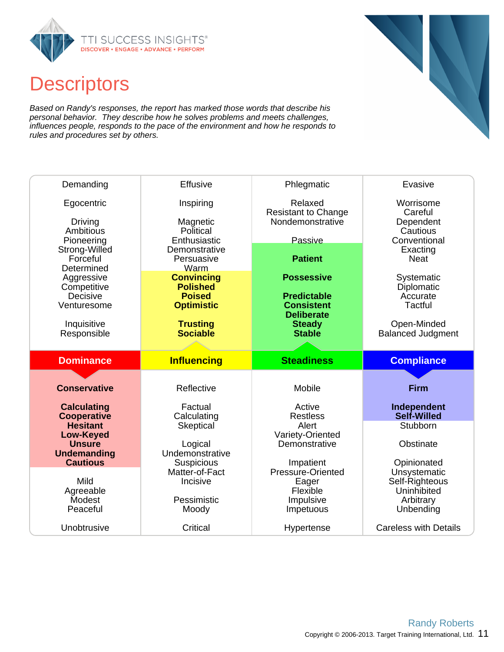

### **Descriptors**

Based on Randy's responses, the report has marked those words that describe his personal behavior. They describe how he solves problems and meets challenges, influences people, responds to the pace of the environment and how he responds to rules and procedures set by others.

| Demanding                             | <b>Effusive</b>                      | Phlegmatic                              | Evasive                                 |
|---------------------------------------|--------------------------------------|-----------------------------------------|-----------------------------------------|
| Egocentric                            | Inspiring                            | Relaxed<br><b>Resistant to Change</b>   | Worrisome<br>Careful                    |
| Driving                               | Magnetic                             | Nondemonstrative                        | Dependent                               |
| Ambitious<br>Pioneering               | Political<br>Enthusiastic            | Passive                                 | Cautious<br>Conventional                |
| Strong-Willed                         | Demonstrative                        |                                         | Exacting                                |
| Forceful<br>Determined                | Persuasive<br>Warm                   | <b>Patient</b>                          | <b>Neat</b>                             |
| Aggressive                            | <b>Convincing</b>                    | <b>Possessive</b>                       | Systematic                              |
| Competitive                           | <b>Polished</b>                      |                                         | Diplomatic                              |
| Decisive<br>Venturesome               | <b>Poised</b><br><b>Optimistic</b>   | <b>Predictable</b><br><b>Consistent</b> | Accurate<br>Tactful                     |
|                                       |                                      | <b>Deliberate</b>                       |                                         |
| Inquisitive<br>Responsible            | <b>Trusting</b><br><b>Sociable</b>   | <b>Steady</b><br><b>Stable</b>          | Open-Minded<br><b>Balanced Judgment</b> |
|                                       |                                      |                                         |                                         |
|                                       |                                      |                                         |                                         |
|                                       |                                      |                                         |                                         |
| <b>Dominance</b>                      | <b>Influencing</b>                   | <b>Steadiness</b>                       | <b>Compliance</b>                       |
|                                       |                                      |                                         |                                         |
| <b>Conservative</b>                   | Reflective                           | Mobile                                  | <b>Firm</b>                             |
| <b>Calculating</b>                    | Factual                              | Active                                  | Independent                             |
| <b>Cooperative</b>                    | Calculating                          | <b>Restless</b>                         | Self-Willed                             |
| <b>Hesitant</b><br><b>Low-Keyed</b>   | Skeptical                            | Alert<br>Variety-Oriented               | Stubborn                                |
| <b>Unsure</b>                         | Logical                              | Demonstrative                           | Obstinate                               |
| <b>Undemanding</b><br><b>Cautious</b> | Undemonstrative<br><b>Suspicious</b> | Impatient                               |                                         |
|                                       | Matter-of-Fact                       | Pressure-Oriented                       | Opinionated<br>Unsystematic             |
| Mild                                  | Incisive                             | Eager                                   | Self-Righteous                          |
| Agreeable<br>Modest                   | Pessimistic                          | Flexible<br>Impulsive                   | Uninhibited<br>Arbitrary                |
| Peaceful                              | Moody                                | Impetuous                               | Unbending                               |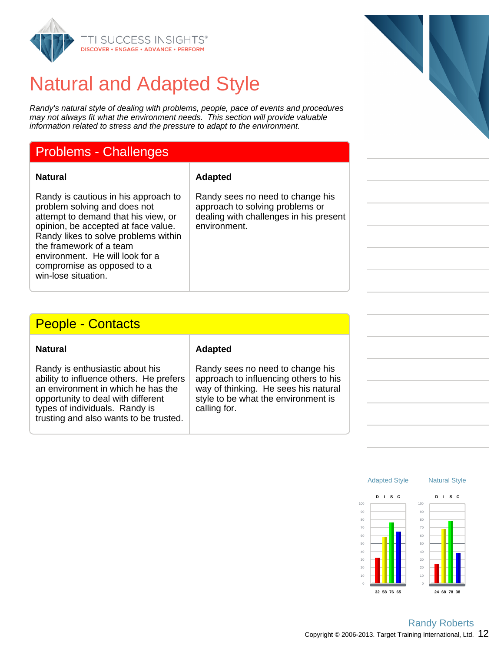

## Natural and Adapted Style

Randy's natural style of dealing with problems, people, pace of events and procedures may not always fit what the environment needs. This section will provide valuable information related to stress and the pressure to adapt to the environment.

### Problems - Challenges

#### **Natural Adapted**

Randy is cautious in his approach to problem solving and does not attempt to demand that his view, or opinion, be accepted at face value. Randy likes to solve problems within the framework of a team environment. He will look for a compromise as opposed to a win-lose situation.

#### Randy sees no need to change his approach to solving problems or dealing with challenges in his present environment.

### People - Contacts

Randy is enthusiastic about his ability to influence others. He prefers an environment in which he has the opportunity to deal with different types of individuals. Randy is trusting and also wants to be trusted.

#### **Natural Adapted**

Randy sees no need to change his approach to influencing others to his way of thinking. He sees his natural style to be what the environment is calling for.





Copyright © 2006-2013. Target Training International, Ltd.  $12$ Randy Roberts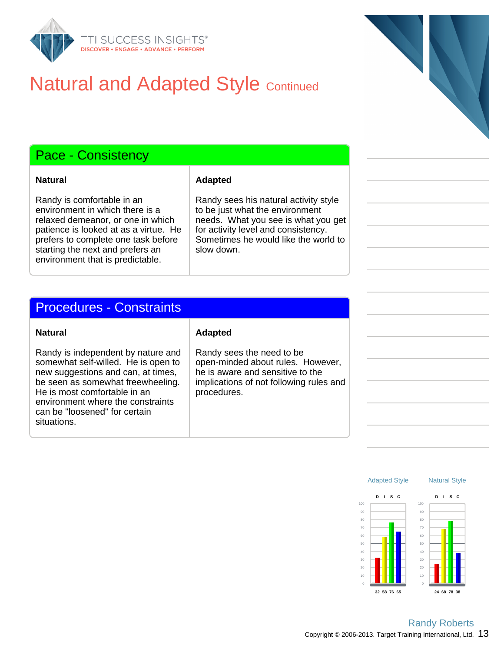

## **Natural and Adapted Style Continued**

### Pace - Consistency

Randy is comfortable in an environment in which there is a relaxed demeanor, or one in which patience is looked at as a virtue. He prefers to complete one task before starting the next and prefers an environment that is predictable.

#### **Natural Adapted**

Randy sees his natural activity style to be just what the environment needs. What you see is what you get for activity level and consistency. Sometimes he would like the world to slow down.

#### Procedures - Constraints

#### **Natural Adapted**

Randy is independent by nature and somewhat self-willed. He is open to new suggestions and can, at times, be seen as somewhat freewheeling. He is most comfortable in an environment where the constraints can be "loosened" for certain situations.

Randy sees the need to be open-minded about rules. However, he is aware and sensitive to the implications of not following rules and procedures.

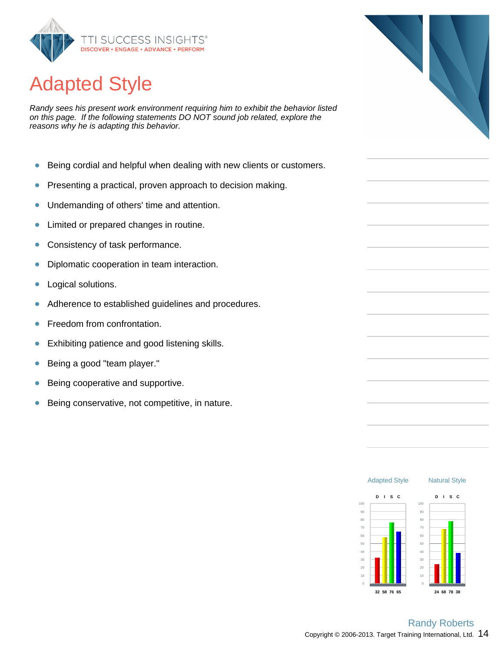

# Adapted Style

Randy sees his present work environment requiring him to exhibit the behavior listed on this page. If the following statements DO NOT sound job related, explore the reasons why he is adapting this behavior.

- Being cordial and helpful when dealing with new clients or customers.  $\bullet$
- Presenting a practical, proven approach to decision making.  $\bullet$
- Undemanding of others' time and attention.  $\bullet$
- Limited or prepared changes in routine.  $\bullet$
- Consistency of task performance.  $\bullet$
- Diplomatic cooperation in team interaction.  $\bullet$
- $\bullet$ Logical solutions.
- Adherence to established guidelines and procedures.  $\bullet$
- $\bullet$ Freedom from confrontation.
- Exhibiting patience and good listening skills. ŏ
- Being a good "team player."  $\bullet$
- Being cooperative and supportive.  $\bullet$
- Being conservative, not competitive, in nature.  $\bullet$



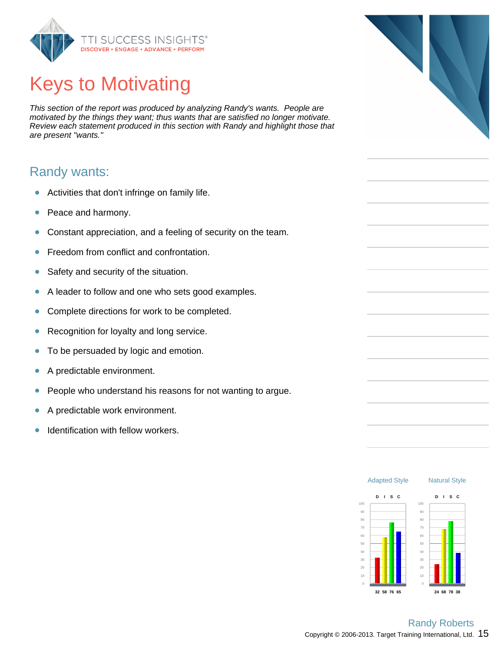

# Keys to Motivating

This section of the report was produced by analyzing Randy's wants. People are motivated by the things they want; thus wants that are satisfied no longer motivate. Review each statement produced in this section with Randy and highlight those that are present "wants."

### Randy wants:

- Activities that don't infringe on family life.  $\bullet$
- Peace and harmony.  $\bullet$
- Constant appreciation, and a feeling of security on the team.  $\bullet$
- Freedom from conflict and confrontation.  $\bullet$
- Safety and security of the situation.  $\bullet$
- A leader to follow and one who sets good examples.  $\bullet$
- Complete directions for work to be completed.  $\bullet$
- Recognition for loyalty and long service. ŏ
- To be persuaded by logic and emotion.  $\bullet$
- A predictable environment.  $\bullet$
- $\bullet$ People who understand his reasons for not wanting to argue.
- $\bullet$ A predictable work environment.
- Identification with fellow workers.  $\bullet$



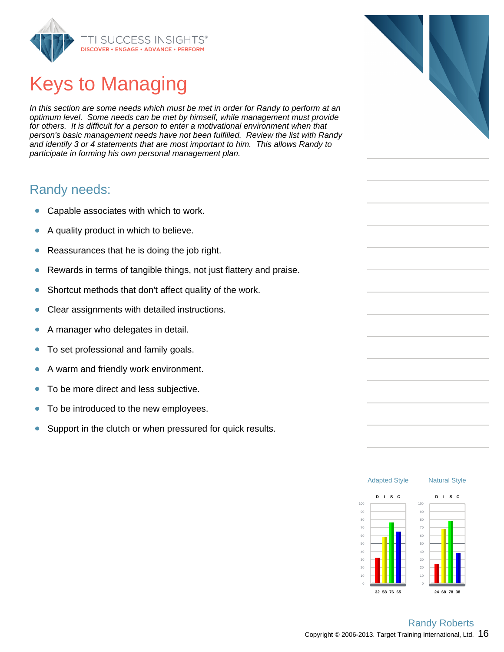

# Keys to Managing

In this section are some needs which must be met in order for Randy to perform at an optimum level. Some needs can be met by himself, while management must provide for others. It is difficult for a person to enter a motivational environment when that person's basic management needs have not been fulfilled. Review the list with Randy and identify 3 or 4 statements that are most important to him. This allows Randy to participate in forming his own personal management plan.

### Randy needs:

- Capable associates with which to work.  $\bullet$
- A quality product in which to believe.  $\bullet$
- Reassurances that he is doing the job right.  $\bullet$
- $\bullet$ Rewards in terms of tangible things, not just flattery and praise.
- Shortcut methods that don't affect quality of the work.  $\bullet$
- Clear assignments with detailed instructions.  $\bullet$
- A manager who delegates in detail.  $\bullet$
- To set professional and family goals.  $\bullet$
- A warm and friendly work environment.  $\bullet$
- To be more direct and less subjective.  $\bullet$
- To be introduced to the new employees.  $\bullet$
- Support in the clutch or when pressured for quick results.  $\bullet$



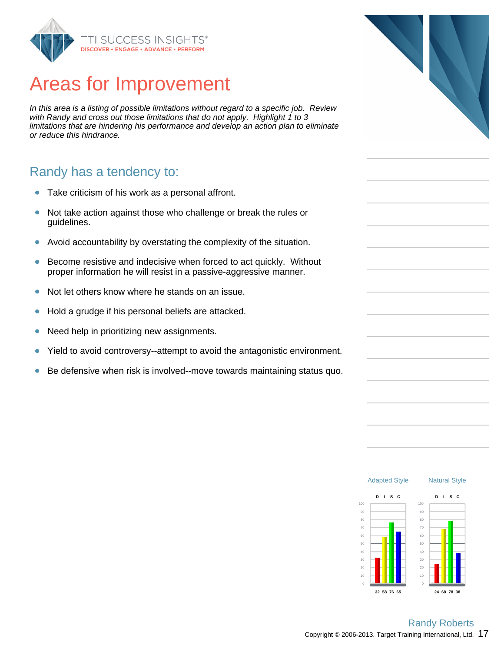

### Areas for Improvement

In this area is a listing of possible limitations without regard to a specific job. Review with Randy and cross out those limitations that do not apply. Highlight 1 to 3 limitations that are hindering his performance and develop an action plan to eliminate or reduce this hindrance.

### Randy has a tendency to:

- Take criticism of his work as a personal affront.  $\bullet$
- Not take action against those who challenge or break the rules or  $\bullet$ guidelines.
- Avoid accountability by overstating the complexity of the situation.  $\bullet$
- Become resistive and indecisive when forced to act quickly. Without  $\bullet$ proper information he will resist in a passive-aggressive manner.
- Not let others know where he stands on an issue.  $\bullet$
- Hold a grudge if his personal beliefs are attacked.  $\bullet$
- Need help in prioritizing new assignments.  $\bullet$
- Yield to avoid controversy--attempt to avoid the antagonistic environment.  $\bullet$
- Be defensive when risk is involved--move towards maintaining status quo.  $\bullet$



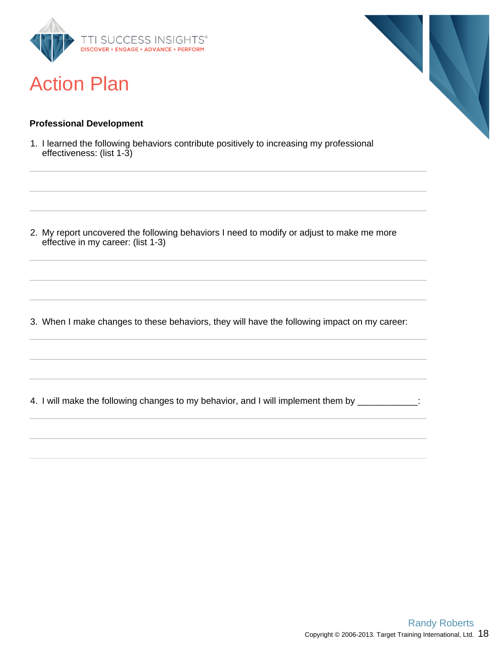

### Action Plan

#### **Professional Development**

1. I learned the following behaviors contribute positively to increasing my professional effectiveness: (list 1-3)

2. My report uncovered the following behaviors I need to modify or adjust to make me more effective in my career: (list 1-3)

3. When I make changes to these behaviors, they will have the following impact on my career:

4. I will make the following changes to my behavior, and I will implement them by \_\_\_\_\_\_\_\_\_\_\_\_:

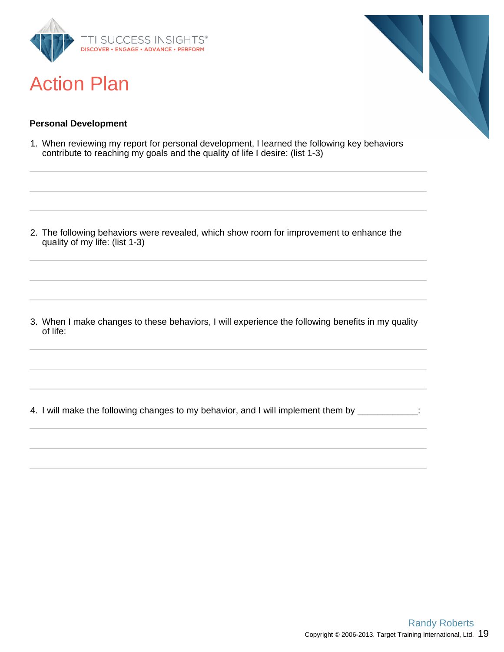

### Action Plan



#### **Personal Development**

1. When reviewing my report for personal development, I learned the following key behaviors contribute to reaching my goals and the quality of life I desire: (list 1-3)

2. The following behaviors were revealed, which show room for improvement to enhance the quality of my life: (list 1-3)

3. When I make changes to these behaviors, I will experience the following benefits in my quality of life:

4. I will make the following changes to my behavior, and I will implement them by \_\_\_\_\_\_\_\_\_\_\_\_: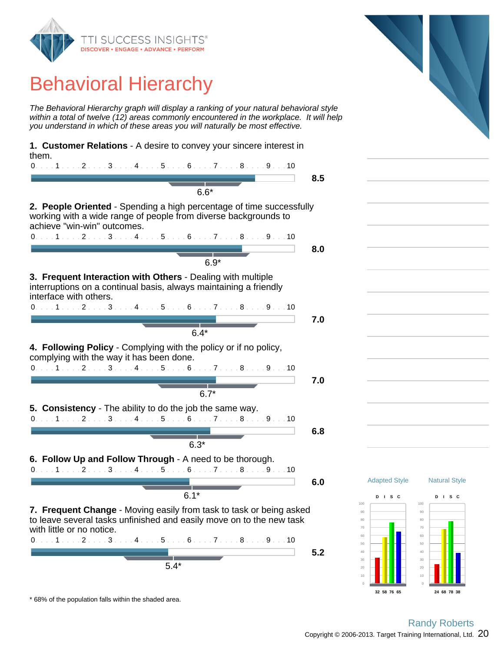

# Behavioral Hierarchy

The Behavioral Hierarchy graph will display a ranking of your natural behavioral style within a total of twelve (12) areas commonly encountered in the workplace. It will help you understand in which of these areas you will naturally be most effective.

**1. Customer Relations** - A desire to convey your sincere interest in them.

| $0. \ldots 1 \ldots 2 \ldots 3 \ldots 4 \ldots 5 \ldots 6 \ldots 7 \ldots 8 \ldots 9 \ldots 10$                                                            |     |
|------------------------------------------------------------------------------------------------------------------------------------------------------------|-----|
| $6.6*$                                                                                                                                                     | 8.5 |
| <b>2. People Oriented</b> - Spending a high percentage of time successfully                                                                                |     |
| working with a wide range of people from diverse backgrounds to<br>achieve "win-win" outcomes.                                                             |     |
| $0.1.1.1.1.2.1.13.1.14.1.15.1.16.1.17.1.18.1.19.1.10$                                                                                                      |     |
|                                                                                                                                                            | 8.0 |
| $6.9*$                                                                                                                                                     |     |
| 3. Frequent Interaction with Others - Dealing with multiple<br>interruptions on a continual basis, always maintaining a friendly<br>interface with others. |     |
| $0.1.1.1.1.2.1.13.1.14.1.15.1.16.1.17.1.18.1.19.1.10$                                                                                                      |     |
|                                                                                                                                                            | 7.0 |
| 6.4*                                                                                                                                                       |     |

**4. Following Policy** - Complying with the policy or if no policy, complying with the way it has been done.

0. . . . 1 . . . . 2 . . . . 3 . . . . 4 . . . . 5 . . . . 6 . . . . 7 . . . . 8 . . . . 9 . . . 10. **7.0** 6.7\*

**5. Consistency** - The ability to do the job the same way.

$$
0.\ldots,1\ldots,2\ldots,3\ldots,4\ldots,5\ldots,6\ldots,7\ldots,8\ldots,9\ldots,10
$$

$$
\overline{6.3^*}
$$

**6. Follow Up and Follow Through** - A need to be thorough. 0. . . . 1 . . . . 2 . . . . 3 . . . . 4 . . . . 5 . . . . 6 . . . . 7 . . . . 8 . . . . 9 . . . 10

$$
\overline{6.1^*}
$$

**6.0**

**6.8**

**7. Frequent Change** - Moving easily from task to task or being asked to leave several tasks unfinished and easily move on to the new task with little or no notice. 0. . . . 1 . . . . 2 . . . . 3 . . . . 4 . . . . 5 . . . . 6 . . . . 7 . . . . 8 . . . . 9 . . . 10



\* 68% of the population falls within the shaded area.



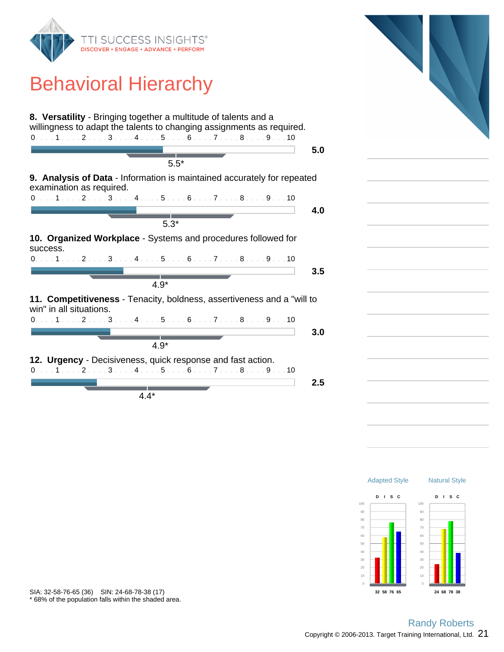

# Behavioral Hierarchy





\* 68% of the population falls within the shaded area. SIA: 32-58-76-65 (36) SIN: 24-68-78-38 (17)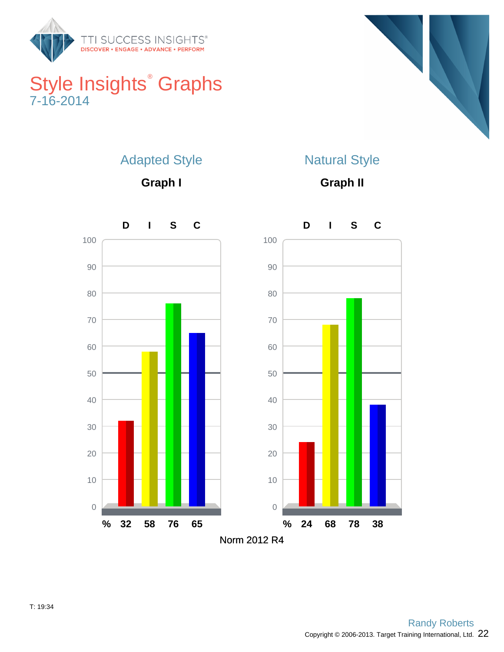

### Style Insights<sup>®</sup> Graphs 7-16-2014



### Adapted Style

**Graph I**

### Natural Style

**Graph II**

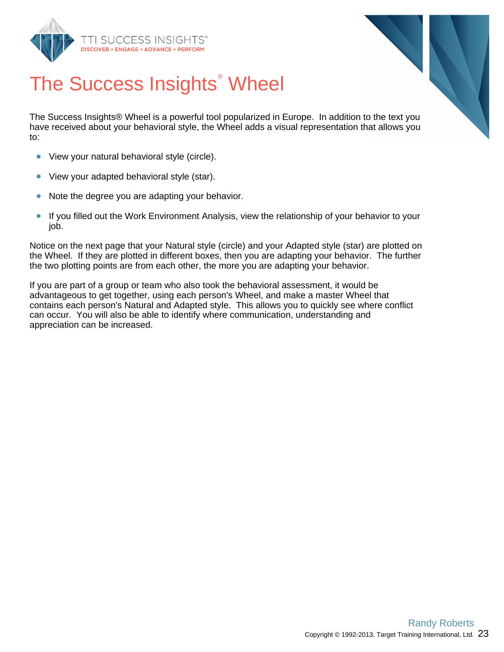



# The Success Insights<sup>®</sup> Wheel

The Success Insights® Wheel is a powerful tool popularized in Europe. In addition to the text you have received about your behavioral style, the Wheel adds a visual representation that allows you to:

- View your natural behavioral style (circle).  $\bullet$
- $\bullet$ View your adapted behavioral style (star).
- $\bullet$ Note the degree you are adapting your behavior.
- $\bullet$ If you filled out the Work Environment Analysis, view the relationship of your behavior to your job.

Notice on the next page that your Natural style (circle) and your Adapted style (star) are plotted on the Wheel. If they are plotted in different boxes, then you are adapting your behavior. The further the two plotting points are from each other, the more you are adapting your behavior.

If you are part of a group or team who also took the behavioral assessment, it would be advantageous to get together, using each person's Wheel, and make a master Wheel that contains each person's Natural and Adapted style. This allows you to quickly see where conflict can occur. You will also be able to identify where communication, understanding and appreciation can be increased.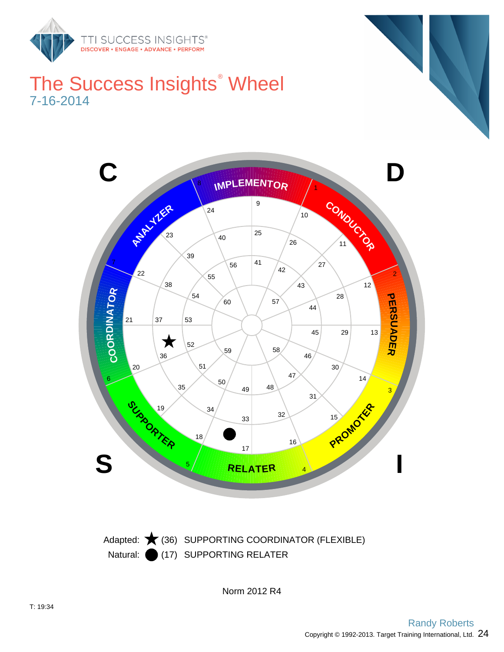

### The Success Insights<sup>®</sup> Wheel 7-16-2014



Natural: (17) SUPPORTING RELATER Adapted:  $\bigstar$  (36) SUPPORTING COORDINATOR (FLEXIBLE)

Norm 2012 R4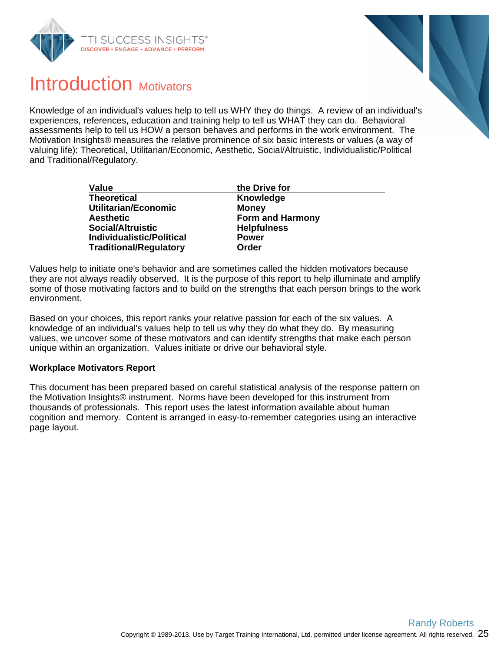



### Introduction Motivators

Knowledge of an individual's values help to tell us WHY they do things. A review of an individual's experiences, references, education and training help to tell us WHAT they can do. Behavioral assessments help to tell us HOW a person behaves and performs in the work environment. The Motivation Insights® measures the relative prominence of six basic interests or values (a way of valuing life): Theoretical, Utilitarian/Economic, Aesthetic, Social/Altruistic, Individualistic/Political and Traditional/Regulatory.

| <b>Value</b>                     | the Drive for           |
|----------------------------------|-------------------------|
| <b>Theoretical</b>               | <b>Knowledge</b>        |
| Utilitarian/Economic             | <b>Money</b>            |
| <b>Aesthetic</b>                 | <b>Form and Harmony</b> |
| <b>Social/Altruistic</b>         | <b>Helpfulness</b>      |
| <b>Individualistic/Political</b> | <b>Power</b>            |
| <b>Traditional/Regulatory</b>    | Order                   |

Values help to initiate one's behavior and are sometimes called the hidden motivators because they are not always readily observed. It is the purpose of this report to help illuminate and amplify some of those motivating factors and to build on the strengths that each person brings to the work environment.

Based on your choices, this report ranks your relative passion for each of the six values. A knowledge of an individual's values help to tell us why they do what they do. By measuring values, we uncover some of these motivators and can identify strengths that make each person unique within an organization. Values initiate or drive our behavioral style.

#### **Workplace Motivators Report**

This document has been prepared based on careful statistical analysis of the response pattern on the Motivation Insights® instrument. Norms have been developed for this instrument from thousands of professionals. This report uses the latest information available about human cognition and memory. Content is arranged in easy-to-remember categories using an interactive page layout.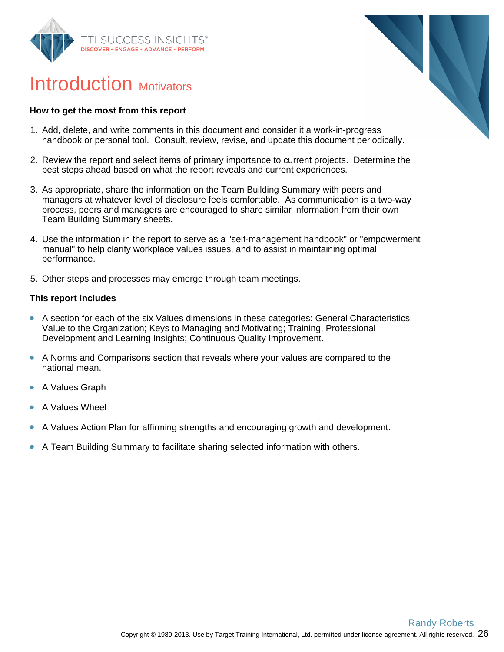



### Introduction Motivators

#### **How to get the most from this report**

- 1. Add, delete, and write comments in this document and consider it a work-in-progress handbook or personal tool. Consult, review, revise, and update this document periodically.
- 2. Review the report and select items of primary importance to current projects. Determine the best steps ahead based on what the report reveals and current experiences.
- 3. As appropriate, share the information on the Team Building Summary with peers and managers at whatever level of disclosure feels comfortable. As communication is a two-way process, peers and managers are encouraged to share similar information from their own Team Building Summary sheets.
- 4. Use the information in the report to serve as a "self-management handbook" or "empowerment manual" to help clarify workplace values issues, and to assist in maintaining optimal performance.
- 5. Other steps and processes may emerge through team meetings.

#### **This report includes**

- A section for each of the six Values dimensions in these categories: General Characteristics;  $\bullet$ Value to the Organization; Keys to Managing and Motivating; Training, Professional Development and Learning Insights; Continuous Quality Improvement.
- $\bullet$ A Norms and Comparisons section that reveals where your values are compared to the national mean.
- $\bullet$ A Values Graph
- A Values Wheel
- A Values Action Plan for affirming strengths and encouraging growth and development.
- A Team Building Summary to facilitate sharing selected information with others.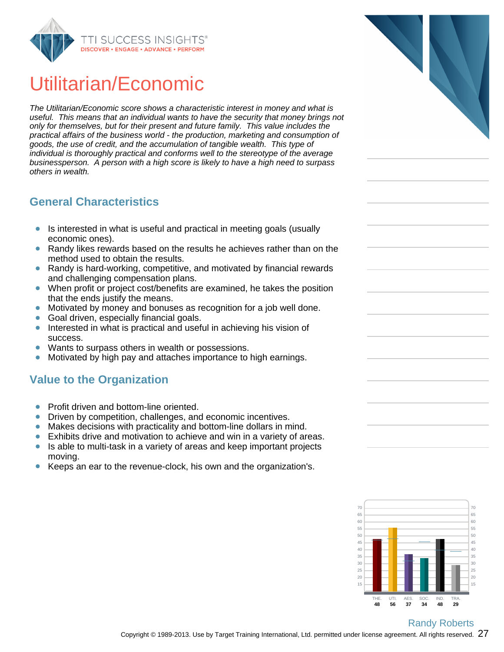

# Utilitarian/Economic

The Utilitarian/Economic score shows a characteristic interest in money and what is useful. This means that an individual wants to have the security that money brings not only for themselves, but for their present and future family. This value includes the practical affairs of the business world - the production, marketing and consumption of goods, the use of credit, and the accumulation of tangible wealth. This type of individual is thoroughly practical and conforms well to the stereotype of the average businessperson. A person with a high score is likely to have a high need to surpass others in wealth.

#### **General Characteristics**

- Is interested in what is useful and practical in meeting goals (usually economic ones).
- Randy likes rewards based on the results he achieves rather than on the  $\bullet$ method used to obtain the results.
- Randy is hard-working, competitive, and motivated by financial rewards  $\bullet$ and challenging compensation plans.
- When profit or project cost/benefits are examined, he takes the position  $\bullet$ that the ends justify the means.
- Motivated by money and bonuses as recognition for a job well done.  $\bullet$
- Goal driven, especially financial goals.  $\bullet$
- Interested in what is practical and useful in achieving his vision of  $\bullet$ success.
- $\bullet$ Wants to surpass others in wealth or possessions.
- Motivated by high pay and attaches importance to high earnings.  $\bullet$

#### **Value to the Organization**

- Profit driven and bottom-line oriented.
- Driven by competition, challenges, and economic incentives.  $\bullet$
- Makes decisions with practicality and bottom-line dollars in mind.  $\bullet$
- Exhibits drive and motivation to achieve and win in a variety of areas.  $\bullet$
- Is able to multi-task in a variety of areas and keep important projects  $\bullet$ moving.
- Keeps an ear to the revenue-clock, his own and the organization's.



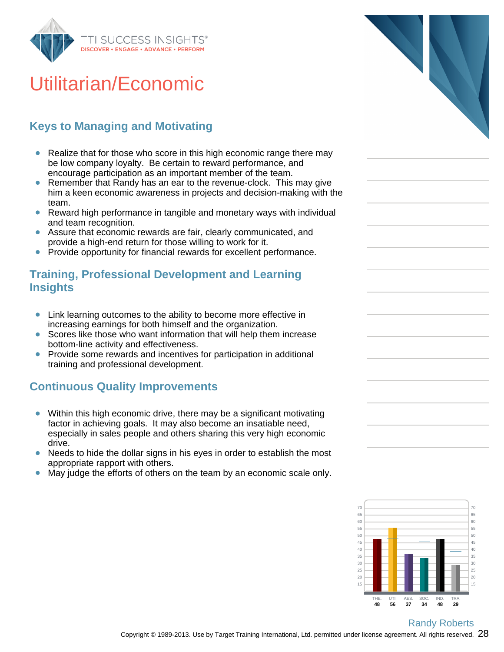

# Utilitarian/Economic

### **Keys to Managing and Motivating**

- Realize that for those who score in this high economic range there may be low company loyalty. Be certain to reward performance, and encourage participation as an important member of the team.
- Remember that Randy has an ear to the revenue-clock. This may give him a keen economic awareness in projects and decision-making with the team.
- Reward high performance in tangible and monetary ways with individual and team recognition.
- Assure that economic rewards are fair, clearly communicated, and provide a high-end return for those willing to work for it.
- $\bullet$ Provide opportunity for financial rewards for excellent performance.

#### **Training, Professional Development and Learning Insights**

- $\bullet$ Link learning outcomes to the ability to become more effective in increasing earnings for both himself and the organization.
- Scores like those who want information that will help them increase bottom-line activity and effectiveness.
- Provide some rewards and incentives for participation in additional training and professional development.

#### **Continuous Quality Improvements**

- $\bullet$ Within this high economic drive, there may be a significant motivating factor in achieving goals. It may also become an insatiable need, especially in sales people and others sharing this very high economic drive.
- Needs to hide the dollar signs in his eyes in order to establish the most appropriate rapport with others.
- May judge the efforts of others on the team by an economic scale only.



Copyright © 1989-2013. Use by Target Training International, Ltd. permitted under license agreement. All rights reserved.  $28\,$ Randy Roberts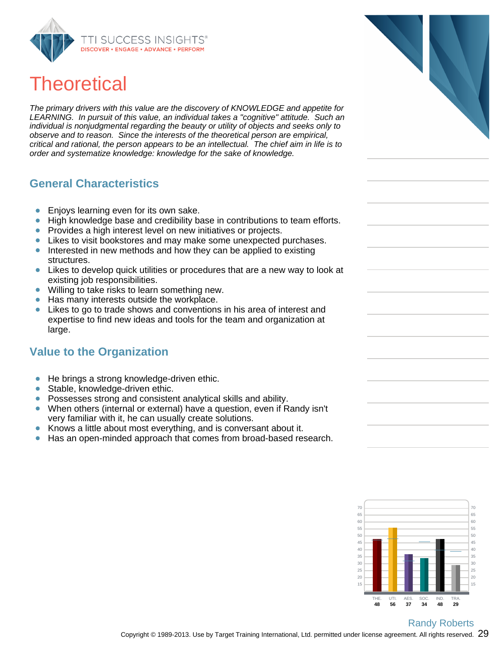

## **Theoretical**

The primary drivers with this value are the discovery of KNOWLEDGE and appetite for LEARNING. In pursuit of this value, an individual takes a "cognitive" attitude. Such an individual is nonjudgmental regarding the beauty or utility of objects and seeks only to observe and to reason. Since the interests of the theoretical person are empirical, critical and rational, the person appears to be an intellectual. The chief aim in life is to order and systematize knowledge: knowledge for the sake of knowledge.

#### **General Characteristics**

- Enjoys learning even for its own sake.  $\bullet$
- High knowledge base and credibility base in contributions to team efforts.  $\bullet$
- Provides a high interest level on new initiatives or projects.  $\bullet$
- Likes to visit bookstores and may make some unexpected purchases.  $\bullet$
- Interested in new methods and how they can be applied to existing structures.
- $\bullet$ Likes to develop quick utilities or procedures that are a new way to look at existing job responsibilities.
- Willing to take risks to learn something new.  $\bullet$
- Has many interests outside the workplace.  $\bullet$
- Likes to go to trade shows and conventions in his area of interest and  $\bullet$ expertise to find new ideas and tools for the team and organization at large.

#### **Value to the Organization**

- $\bullet$ He brings a strong knowledge-driven ethic.
- Stable, knowledge-driven ethic.  $\bullet$
- Possesses strong and consistent analytical skills and ability.  $\bullet$
- When others (internal or external) have a question, even if Randy isn't  $\bullet$ very familiar with it, he can usually create solutions.
- Knows a little about most everything, and is conversant about it.
- $\bullet$ Has an open-minded approach that comes from broad-based research.



Copyright © 1989-2013. Use by Target Training International, Ltd. permitted under license agreement. All rights reserved.  $29$ Randy Roberts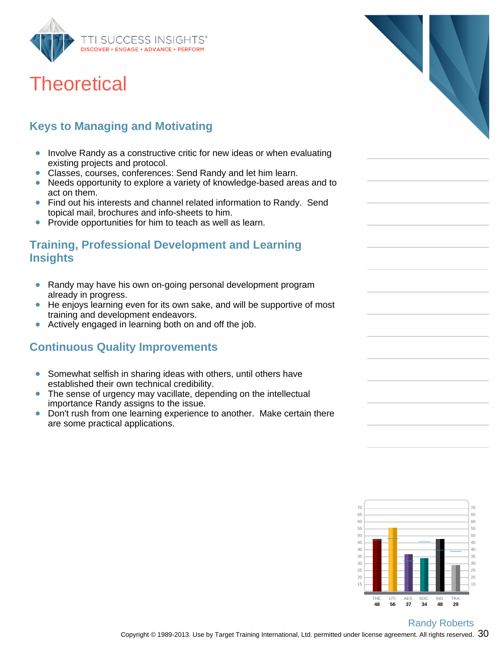

### **Theoretical**

### **Keys to Managing and Motivating**

- Involve Randy as a constructive critic for new ideas or when evaluating existing projects and protocol.
- Classes, courses, conferences: Send Randy and let him learn.  $\bullet$
- Needs opportunity to explore a variety of knowledge-based areas and to act on them.
- Find out his interests and channel related information to Randy. Send topical mail, brochures and info-sheets to him.
- Provide opportunities for him to teach as well as learn.  $\bullet$

#### **Training, Professional Development and Learning Insights**

- Randy may have his own on-going personal development program already in progress.
- $\bullet$ He enjoys learning even for its own sake, and will be supportive of most training and development endeavors.
- $\bullet$ Actively engaged in learning both on and off the job.

#### **Continuous Quality Improvements**

- Somewhat selfish in sharing ideas with others, until others have  $\bullet$ established their own technical credibility.
- The sense of urgency may vacillate, depending on the intellectual  $\bullet$ importance Randy assigns to the issue.
- Don't rush from one learning experience to another. Make certain there  $\bullet$ are some practical applications.



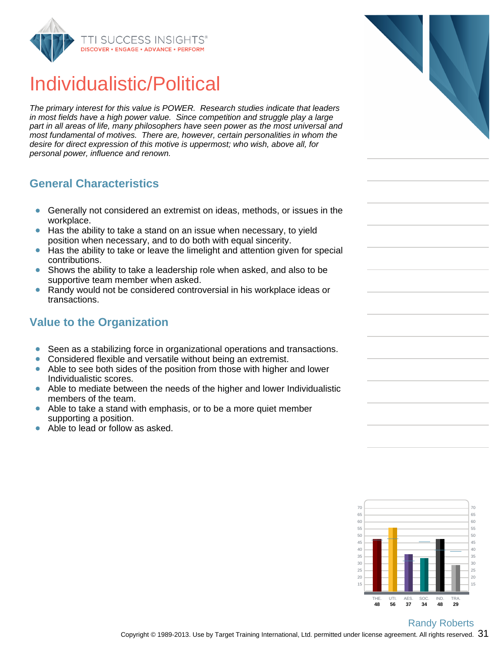

### Individualistic/Political

The primary interest for this value is POWER. Research studies indicate that leaders in most fields have a high power value. Since competition and struggle play a large part in all areas of life, many philosophers have seen power as the most universal and most fundamental of motives. There are, however, certain personalities in whom the desire for direct expression of this motive is uppermost; who wish, above all, for personal power, influence and renown.

#### **General Characteristics**

- Generally not considered an extremist on ideas, methods, or issues in the  $\bullet$ workplace.
- Has the ability to take a stand on an issue when necessary, to yield position when necessary, and to do both with equal sincerity.
- Has the ability to take or leave the limelight and attention given for special  $\bullet$ contributions.
- Shows the ability to take a leadership role when asked, and also to be supportive team member when asked.
- Randy would not be considered controversial in his workplace ideas or  $\bullet$ transactions.

### **Value to the Organization**

- Seen as a stabilizing force in organizational operations and transactions.  $\bullet$
- Considered flexible and versatile without being an extremist.  $\bullet$
- $\bullet$ Able to see both sides of the position from those with higher and lower Individualistic scores.
- Able to mediate between the needs of the higher and lower Individualistic  $\bullet$ members of the team.
- Able to take a stand with emphasis, or to be a more quiet member  $\bullet$ supporting a position.
- Able to lead or follow as asked.





Copyright © 1989-2013. Use by Target Training International, Ltd. permitted under license agreement. All rights reserved.  $\,31\,$ Randy Roberts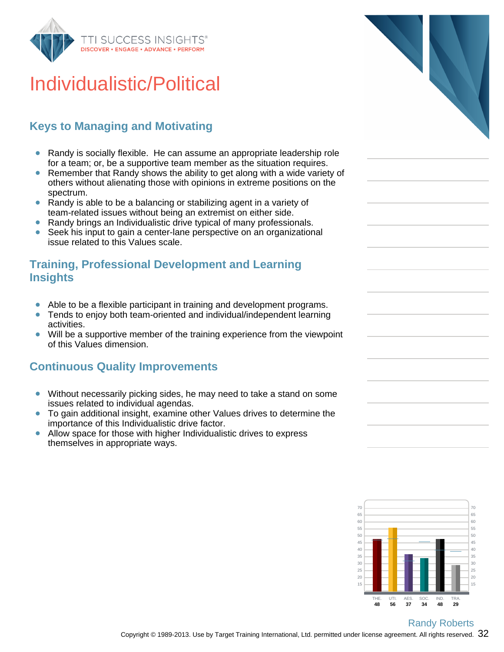

# Individualistic/Political

### **Keys to Managing and Motivating**

- Randy is socially flexible. He can assume an appropriate leadership role for a team; or, be a supportive team member as the situation requires.
- Remember that Randy shows the ability to get along with a wide variety of  $\bullet$ others without alienating those with opinions in extreme positions on the spectrum.
- $\bullet$ Randy is able to be a balancing or stabilizing agent in a variety of team-related issues without being an extremist on either side.
- Randy brings an Individualistic drive typical of many professionals.  $\bullet$
- Seek his input to gain a center-lane perspective on an organizational issue related to this Values scale.

#### **Training, Professional Development and Learning Insights**

- Able to be a flexible participant in training and development programs.
- Tends to enjoy both team-oriented and individual/independent learning activities.
- Will be a supportive member of the training experience from the viewpoint of this Values dimension.

#### **Continuous Quality Improvements**

- Without necessarily picking sides, he may need to take a stand on some issues related to individual agendas.
- To gain additional insight, examine other Values drives to determine the  $\bullet$ importance of this Individualistic drive factor.
- Allow space for those with higher Individualistic drives to express  $\bullet$ themselves in appropriate ways.



Copyright © 1989-2013. Use by Target Training International, Ltd. permitted under license agreement. All rights reserved.  $\,32\,$ Randy Roberts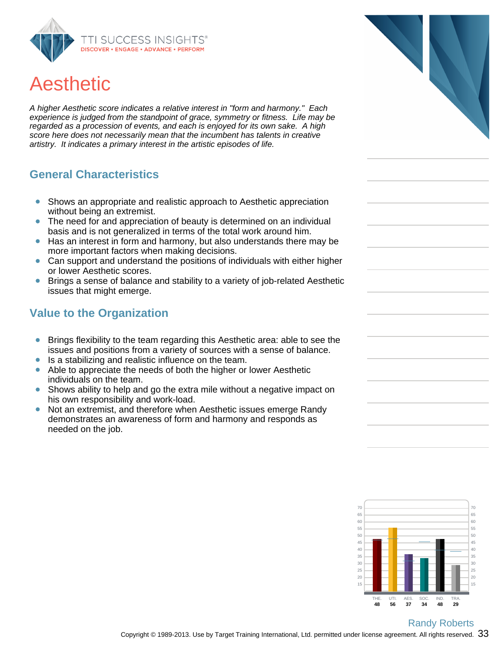

# Aesthetic

A higher Aesthetic score indicates a relative interest in "form and harmony." Each experience is judged from the standpoint of grace, symmetry or fitness. Life may be regarded as a procession of events, and each is enjoyed for its own sake. A high score here does not necessarily mean that the incumbent has talents in creative artistry. It indicates a primary interest in the artistic episodes of life.

#### **General Characteristics**

- Shows an appropriate and realistic approach to Aesthetic appreciation  $\bullet$ without being an extremist.
- The need for and appreciation of beauty is determined on an individual  $\bullet$ basis and is not generalized in terms of the total work around him.
- Has an interest in form and harmony, but also understands there may be more important factors when making decisions.
- Can support and understand the positions of individuals with either higher or lower Aesthetic scores.
- Brings a sense of balance and stability to a variety of job-related Aesthetic issues that might emerge.

#### **Value to the Organization**

- Brings flexibility to the team regarding this Aesthetic area: able to see the  $\bullet$ issues and positions from a variety of sources with a sense of balance.
- Is a stabilizing and realistic influence on the team.  $\bullet$
- Able to appreciate the needs of both the higher or lower Aesthetic  $\bullet$ individuals on the team.
- Shows ability to help and go the extra mile without a negative impact on his own responsibility and work-load.
- Not an extremist, and therefore when Aesthetic issues emerge Randy  $\bullet$ demonstrates an awareness of form and harmony and responds as needed on the job.



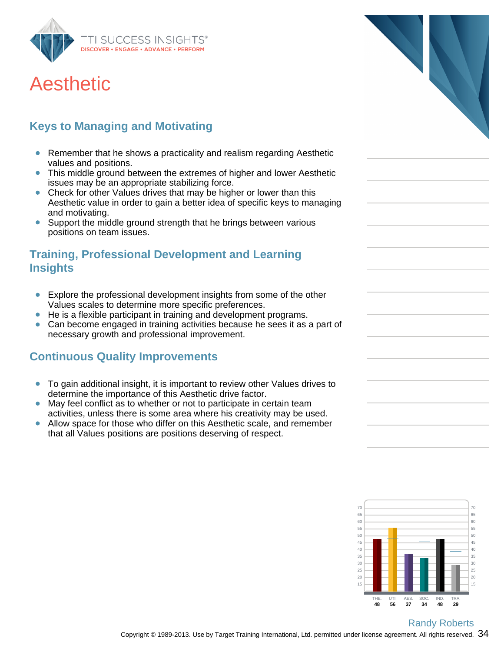

### Aesthetic

### **Keys to Managing and Motivating**

- Remember that he shows a practicality and realism regarding Aesthetic values and positions.
- This middle ground between the extremes of higher and lower Aesthetic  $\bullet$ issues may be an appropriate stabilizing force.
- Check for other Values drives that may be higher or lower than this Aesthetic value in order to gain a better idea of specific keys to managing and motivating.
- Support the middle ground strength that he brings between various  $\bullet$ positions on team issues.

#### **Training, Professional Development and Learning Insights**

- $\bullet$ Explore the professional development insights from some of the other Values scales to determine more specific preferences.
- $\bullet$ He is a flexible participant in training and development programs.
- Can become engaged in training activities because he sees it as a part of necessary growth and professional improvement.

#### **Continuous Quality Improvements**

- To gain additional insight, it is important to review other Values drives to  $\bullet$ determine the importance of this Aesthetic drive factor.
- May feel conflict as to whether or not to participate in certain team activities, unless there is some area where his creativity may be used.
- Allow space for those who differ on this Aesthetic scale, and remember  $\bullet$ that all Values positions are positions deserving of respect.



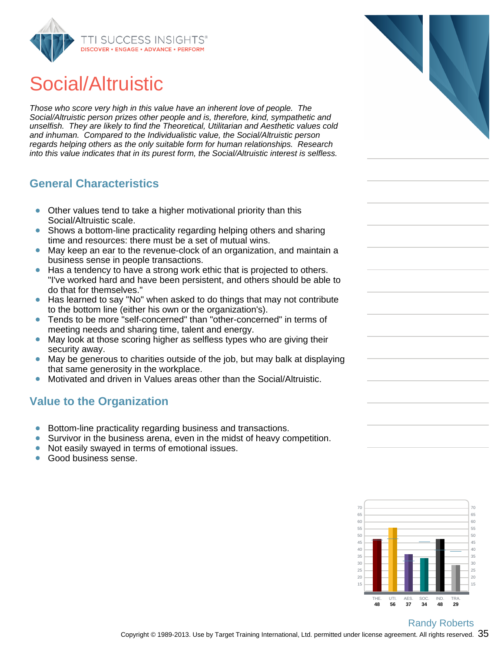

# Social/Altruistic

Those who score very high in this value have an inherent love of people. The Social/Altruistic person prizes other people and is, therefore, kind, sympathetic and unselfish. They are likely to find the Theoretical, Utilitarian and Aesthetic values cold and inhuman. Compared to the Individualistic value, the Social/Altruistic person regards helping others as the only suitable form for human relationships. Research into this value indicates that in its purest form, the Social/Altruistic interest is selfless.

#### **General Characteristics**

- Other values tend to take a higher motivational priority than this  $\bullet$ Social/Altruistic scale.
- Shows a bottom-line practicality regarding helping others and sharing time and resources: there must be a set of mutual wins.
- May keep an ear to the revenue-clock of an organization, and maintain a business sense in people transactions.
- Has a tendency to have a strong work ethic that is projected to others.  $\bullet$ "I've worked hard and have been persistent, and others should be able to do that for themselves."
- Has learned to say "No" when asked to do things that may not contribute to the bottom line (either his own or the organization's).
- Tends to be more "self-concerned" than "other-concerned" in terms of meeting needs and sharing time, talent and energy.
- May look at those scoring higher as selfless types who are giving their  $\bullet$ security away.
- May be generous to charities outside of the job, but may balk at displaying that same generosity in the workplace.
- Motivated and driven in Values areas other than the Social/Altruistic.

#### **Value to the Organization**

- Bottom-line practicality regarding business and transactions.
- $\bullet$ Survivor in the business arena, even in the midst of heavy competition.
- $\bullet$ Not easily swayed in terms of emotional issues.
- Good business sense.  $\bullet$



#### Randy Roberts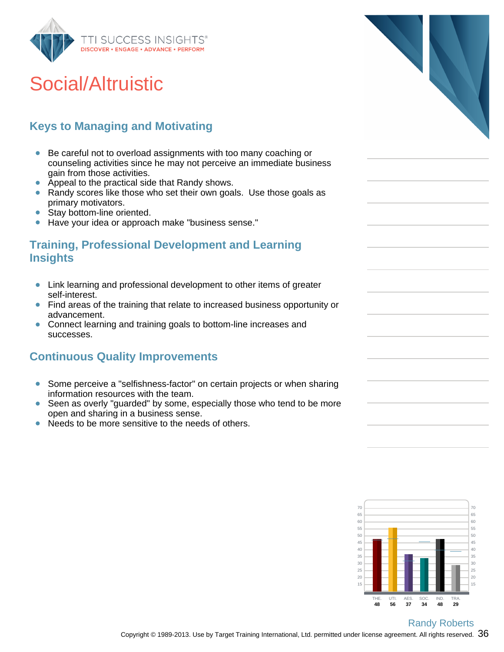

# Social/Altruistic

### **Keys to Managing and Motivating**

- Be careful not to overload assignments with too many coaching or counseling activities since he may not perceive an immediate business gain from those activities.
- Appeal to the practical side that Randy shows.
- Randy scores like those who set their own goals. Use those goals as  $\bullet$ primary motivators.
- Stay bottom-line oriented.  $\bullet$
- Have your idea or approach make "business sense."  $\bullet$

#### **Training, Professional Development and Learning Insights**

- Link learning and professional development to other items of greater  $\bullet$ self-interest.
- Find areas of the training that relate to increased business opportunity or  $\bullet$ advancement.
- Connect learning and training goals to bottom-line increases and successes.

#### **Continuous Quality Improvements**

- Some perceive a "selfishness-factor" on certain projects or when sharing  $\bullet$ information resources with the team.
- Seen as overly "guarded" by some, especially those who tend to be more open and sharing in a business sense.
- Needs to be more sensitive to the needs of others.  $\bullet$



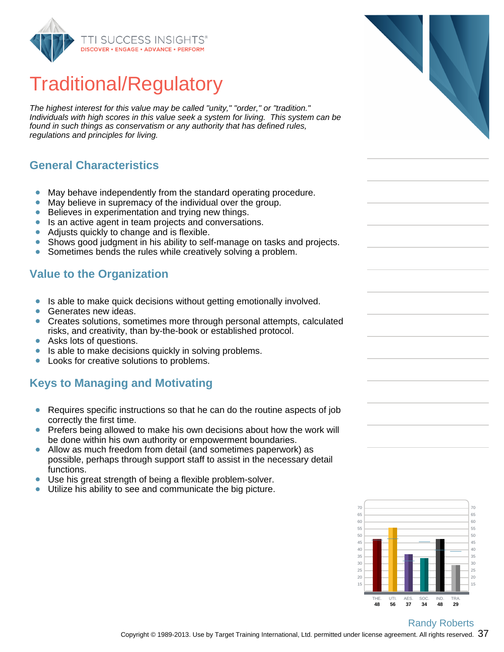

# Traditional/Regulatory

The highest interest for this value may be called "unity," "order," or "tradition." Individuals with high scores in this value seek a system for living. This system can be found in such things as conservatism or any authority that has defined rules, regulations and principles for living.

#### **General Characteristics**

- May behave independently from the standard operating procedure.  $\bullet$
- ŏ May believe in supremacy of the individual over the group.
- $\bullet$ Believes in experimentation and trying new things.
- Is an active agent in team projects and conversations.  $\bullet$
- Adjusts quickly to change and is flexible.  $\bullet$
- Shows good judgment in his ability to self-manage on tasks and projects.  $\bullet$
- $\bullet$ Sometimes bends the rules while creatively solving a problem.

#### **Value to the Organization**

- Is able to make quick decisions without getting emotionally involved.  $\bullet$
- Generates new ideas.
- $\bullet$ Creates solutions, sometimes more through personal attempts, calculated risks, and creativity, than by-the-book or established protocol.
- Asks lots of questions.  $\bullet$
- Is able to make decisions quickly in solving problems.  $\bullet$
- Looks for creative solutions to problems.  $\bullet$

#### **Keys to Managing and Motivating**

- Requires specific instructions so that he can do the routine aspects of job  $\bullet$ correctly the first time.
- Prefers being allowed to make his own decisions about how the work will  $\bullet$ be done within his own authority or empowerment boundaries.
- Allow as much freedom from detail (and sometimes paperwork) as possible, perhaps through support staff to assist in the necessary detail functions.
- Use his great strength of being a flexible problem-solver.
- Utilize his ability to see and communicate the big picture.  $\bullet$



#### Copyright © 1989-2013. Use by Target Training International, Ltd. permitted under license agreement. All rights reserved.  $~37$ Randy Roberts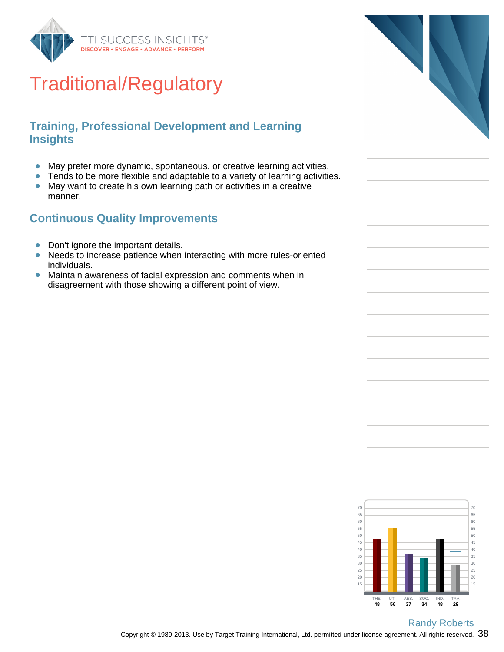

# Traditional/Regulatory

#### **Training, Professional Development and Learning Insights**

- May prefer more dynamic, spontaneous, or creative learning activities.  $\bullet$
- Tends to be more flexible and adaptable to a variety of learning activities.  $\bullet$
- May want to create his own learning path or activities in a creative  $\bullet$ manner.

#### **Continuous Quality Improvements**

- Don't ignore the important details.  $\bullet$
- $\bullet$ Needs to increase patience when interacting with more rules-oriented individuals.
- $\bullet$ Maintain awareness of facial expression and comments when in disagreement with those showing a different point of view.



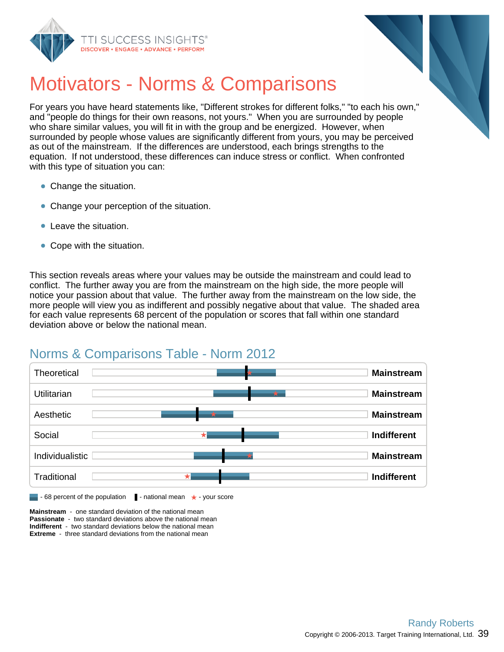



## Motivators - Norms & Comparisons

For years you have heard statements like, "Different strokes for different folks," "to each his own," and "people do things for their own reasons, not yours." When you are surrounded by people who share similar values, you will fit in with the group and be energized. However, when surrounded by people whose values are significantly different from yours, you may be perceived as out of the mainstream. If the differences are understood, each brings strengths to the equation. If not understood, these differences can induce stress or conflict. When confronted with this type of situation you can:

- Change the situation.
- Change your perception of the situation.
- Leave the situation.
- Cope with the situation.

This section reveals areas where your values may be outside the mainstream and could lead to conflict. The further away you are from the mainstream on the high side, the more people will notice your passion about that value. The further away from the mainstream on the low side, the more people will view you as indifferent and possibly negative about that value. The shaded area for each value represents 68 percent of the population or scores that fall within one standard deviation above or below the national mean.

### Norms & Comparisons Table - Norm 2012



**Mainstream** - one standard deviation of the national mean **Passionate** - two standard deviations above the national mean **Indifferent** - two standard deviations below the national mean **Extreme** - three standard deviations from the national mean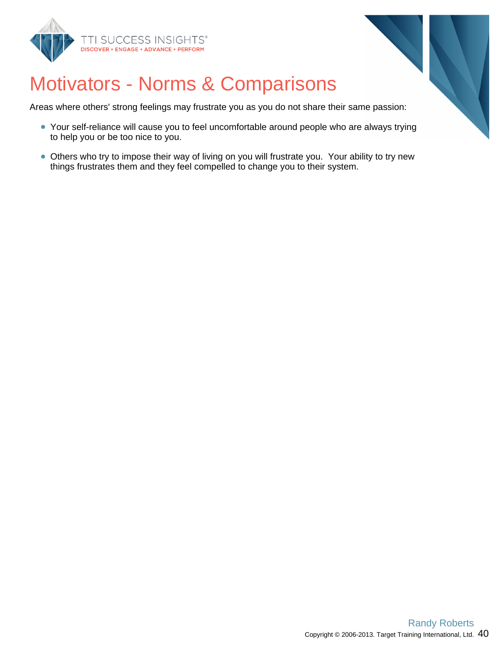



# Motivators - Norms & Comparisons

Areas where others' strong feelings may frustrate you as you do not share their same passion:

- Your self-reliance will cause you to feel uncomfortable around people who are always trying to help you or be too nice to you.
- Others who try to impose their way of living on you will frustrate you. Your ability to try new things frustrates them and they feel compelled to change you to their system.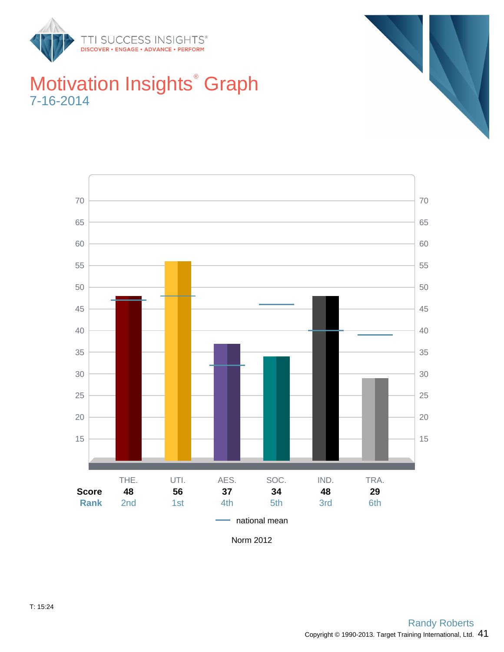







Norm 2012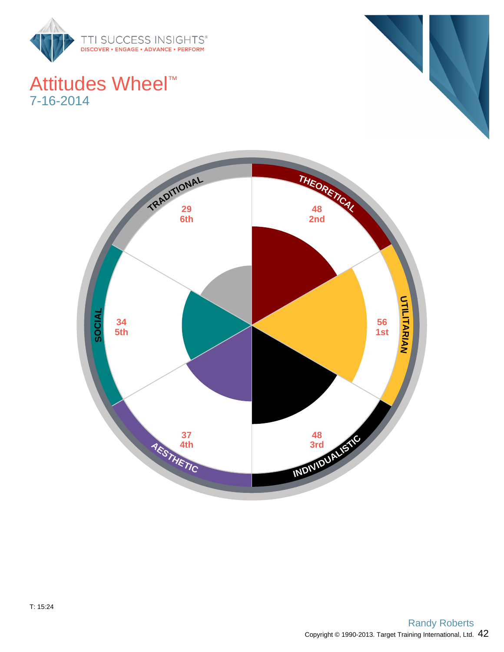

### Attitudes Wheel™ 7-16-2014



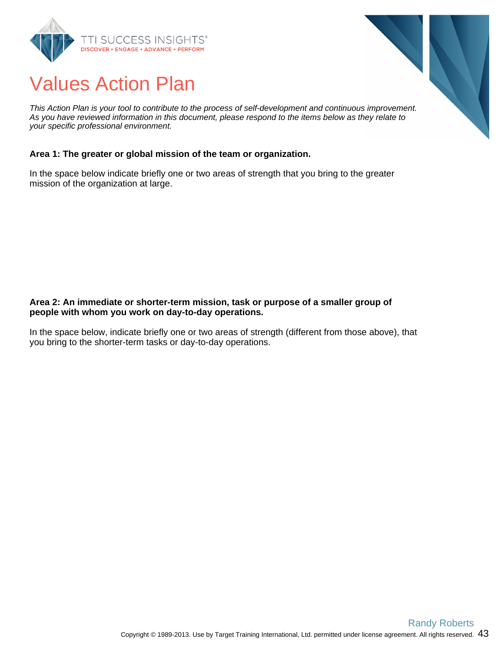



This Action Plan is your tool to contribute to the process of self-development and continuous improvement. As you have reviewed information in this document, please respond to the items below as they relate to your specific professional environment.

#### **Area 1: The greater or global mission of the team or organization.**

In the space below indicate briefly one or two areas of strength that you bring to the greater mission of the organization at large.

#### **Area 2: An immediate or shorter-term mission, task or purpose of a smaller group of people with whom you work on day-to-day operations.**

In the space below, indicate briefly one or two areas of strength (different from those above), that you bring to the shorter-term tasks or day-to-day operations.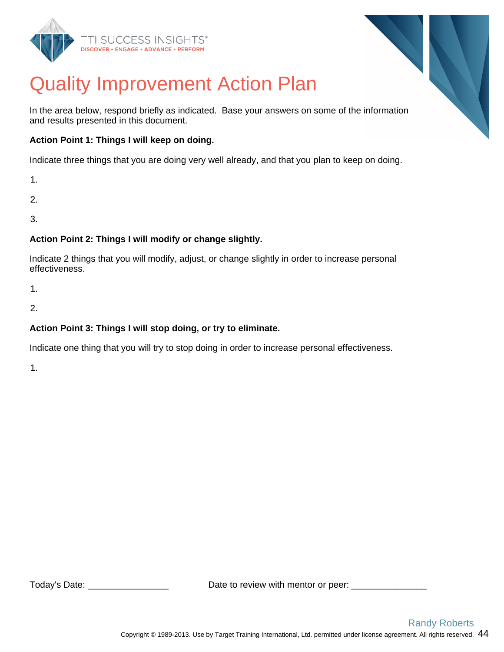



# Quality Improvement Action Plan

In the area below, respond briefly as indicated. Base your answers on some of the information and results presented in this document.

#### **Action Point 1: Things I will keep on doing.**

Indicate three things that you are doing very well already, and that you plan to keep on doing.

1.

2.

3.

#### **Action Point 2: Things I will modify or change slightly.**

Indicate 2 things that you will modify, adjust, or change slightly in order to increase personal effectiveness.

1.

2.

#### **Action Point 3: Things I will stop doing, or try to eliminate.**

Indicate one thing that you will try to stop doing in order to increase personal effectiveness.

1.

Today's Date:  $\Box$  Date to review with mentor or peer: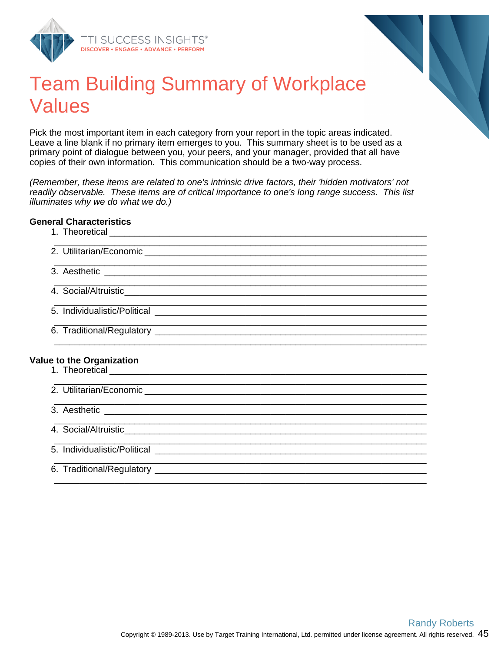



### Team Building Summary of Workplace Values

Pick the most important item in each category from your report in the topic areas indicated. Leave a line blank if no primary item emerges to you. This summary sheet is to be used as a primary point of dialogue between you, your peers, and your manager, provided that all have copies of their own information. This communication should be a two-way process.

(Remember, these items are related to one's intrinsic drive factors, their 'hidden motivators' not readily observable. These items are of critical importance to one's long range success. This list illuminates why we do what we do.)

#### **General Characteristics**

| <b>Value to the Organization</b> |
|----------------------------------|
|                                  |
|                                  |
|                                  |
|                                  |
|                                  |
|                                  |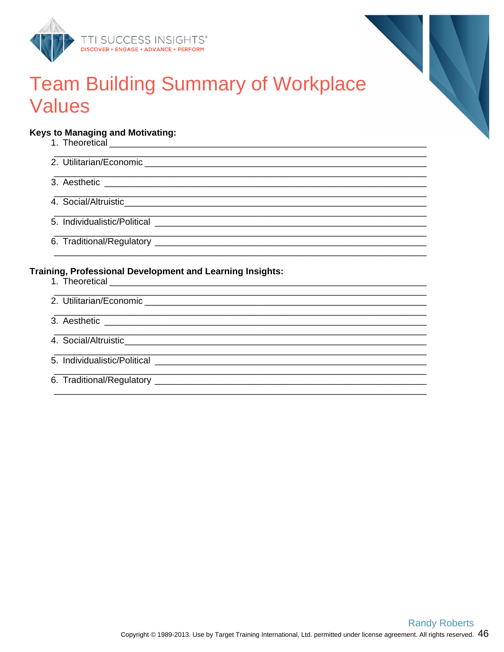



### **Team Building Summary of Workplace Values**

#### **Keys to Managing and Motivating:**

2. Utilitarian/Economic 3. Aesthetic and the state of the state of the state of the state of the state of the state of the state of the 4. Social/Altruistic expansion of the state of the state of the state of the state of the state of the state of the state of the state of the state of the state of the state of the state of the state of the state of the st 6. Traditional/Regulatory experience of the contract of the contract of the contract of the contract of the contract of the contract of the contract of the contract of the contract of the contract of the contract of the co Training, Professional Development and Learning Insights: 2. Utilitarian/Economic 3. Aesthetic and the state of the state of the state of the state of the state of the state of the state of the 4. Social/Altruistic expansion of the state of the state of the state of the state of the state of the state of the state of the state of the state of the state of the state of the state of the state of the state of the st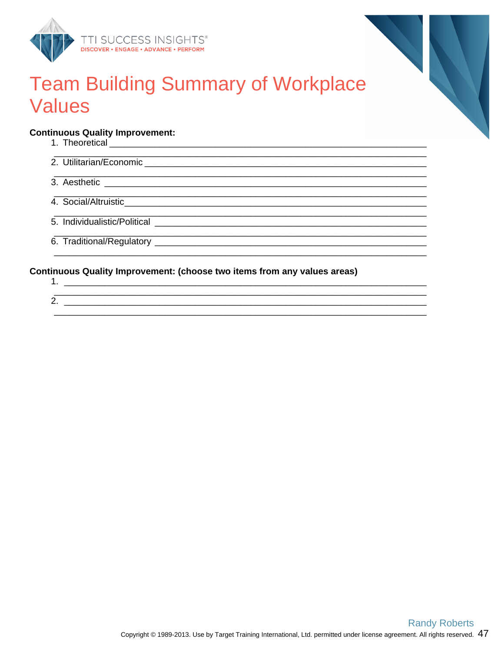



### **Team Building Summary of Workplace Values**

#### **Continuous Quality Improvement:**

### Continuous Quality Improvement: (choose two items from any values areas)

 $\overline{\text{2.}}$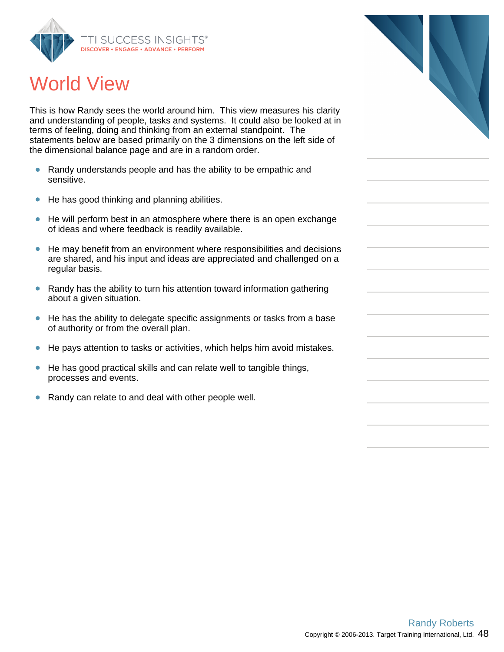

# World View

This is how Randy sees the world around him. This view measures his clarity and understanding of people, tasks and systems. It could also be looked at in terms of feeling, doing and thinking from an external standpoint. The statements below are based primarily on the 3 dimensions on the left side of the dimensional balance page and are in a random order.

- $\bullet$ Randy understands people and has the ability to be empathic and sensitive.
- $\bullet$ He has good thinking and planning abilities.
- $\bullet$ He will perform best in an atmosphere where there is an open exchange of ideas and where feedback is readily available.
- He may benefit from an environment where responsibilities and decisions  $\bullet$ are shared, and his input and ideas are appreciated and challenged on a regular basis.
- $\bullet$ Randy has the ability to turn his attention toward information gathering about a given situation.
- He has the ability to delegate specific assignments or tasks from a base  $\bullet$ of authority or from the overall plan.
- $\bullet$ He pays attention to tasks or activities, which helps him avoid mistakes.
- He has good practical skills and can relate well to tangible things,  $\bullet$ processes and events.
- $\bullet$ Randy can relate to and deal with other people well.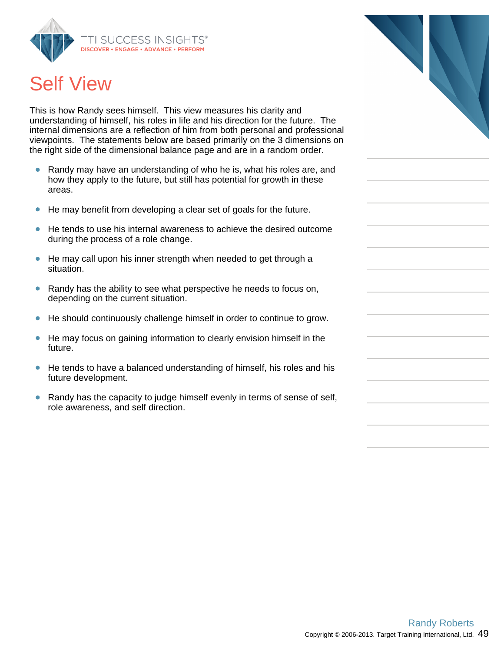

# Self View

This is how Randy sees himself. This view measures his clarity and understanding of himself, his roles in life and his direction for the future. The internal dimensions are a reflection of him from both personal and professional viewpoints. The statements below are based primarily on the 3 dimensions on the right side of the dimensional balance page and are in a random order.

- Randy may have an understanding of who he is, what his roles are, and how they apply to the future, but still has potential for growth in these areas.
- He may benefit from developing a clear set of goals for the future.  $\bullet$
- He tends to use his internal awareness to achieve the desired outcome during the process of a role change.
- He may call upon his inner strength when needed to get through a  $\bullet$ situation.
- $\bullet$ Randy has the ability to see what perspective he needs to focus on, depending on the current situation.
- $\bullet$ He should continuously challenge himself in order to continue to grow.
- $\bullet$ He may focus on gaining information to clearly envision himself in the future.
- He tends to have a balanced understanding of himself, his roles and his future development.
- $\bullet$ Randy has the capacity to judge himself evenly in terms of sense of self, role awareness, and self direction.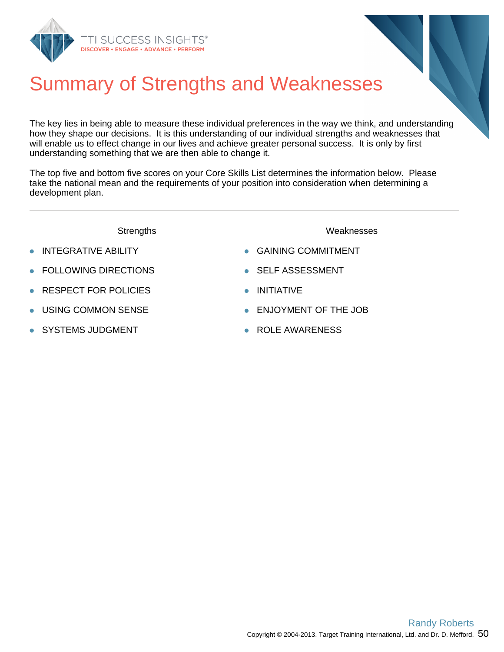

# Summary of Strengths and Weaknesses

The key lies in being able to measure these individual preferences in the way we think, and understanding how they shape our decisions. It is this understanding of our individual strengths and weaknesses that will enable us to effect change in our lives and achieve greater personal success. It is only by first understanding something that we are then able to change it.

The top five and bottom five scores on your Core Skills List determines the information below. Please take the national mean and the requirements of your position into consideration when determining a development plan.

- Strengths Weaknesses
- 
- FOLLOWING DIRECTIONS **SELF ASSESSMENT**
- RESPECT FOR POLICIES **INITIATIVE**
- 
- 
- INTEGRATIVE ABILITY **COMMITMENT** 
	-
	-
- USING COMMON SENSE **ENJOYMENT OF THE JOB**
- SYSTEMS JUDGMENT **ROLE AWARENESS**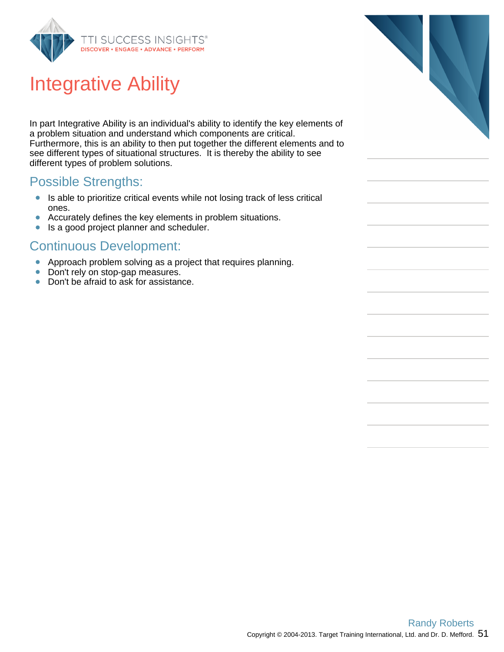

# Integrative Ability

In part Integrative Ability is an individual's ability to identify the key elements of a problem situation and understand which components are critical. Furthermore, this is an ability to then put together the different elements and to see different types of situational structures. It is thereby the ability to see different types of problem solutions.

### Possible Strengths:

- $\bullet$ Is able to prioritize critical events while not losing track of less critical ones.
- $\bullet$ Accurately defines the key elements in problem situations.
- $\bullet$ Is a good project planner and scheduler.

- $\bullet$ Approach problem solving as a project that requires planning.
- $\bullet$ Don't rely on stop-gap measures.
- Don't be afraid to ask for assistance.

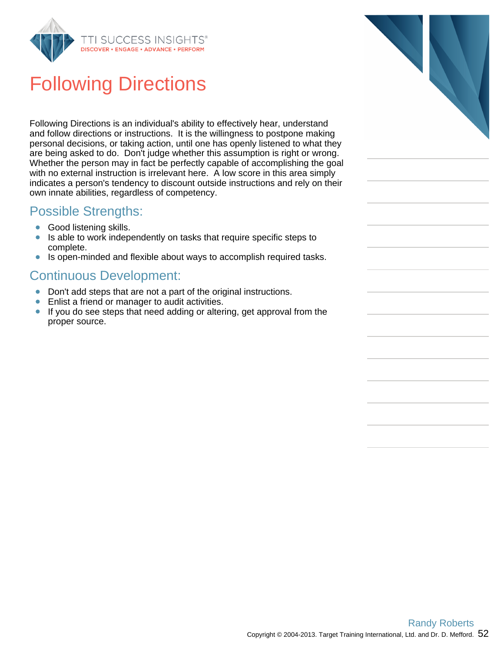

# Following Directions

Following Directions is an individual's ability to effectively hear, understand and follow directions or instructions. It is the willingness to postpone making personal decisions, or taking action, until one has openly listened to what they are being asked to do. Don't judge whether this assumption is right or wrong. Whether the person may in fact be perfectly capable of accomplishing the goal with no external instruction is irrelevant here. A low score in this area simply indicates a person's tendency to discount outside instructions and rely on their own innate abilities, regardless of competency.

### Possible Strengths:

- $\bullet$ Good listening skills.
- Is able to work independently on tasks that require specific steps to  $\bullet$ complete.
- Is open-minded and flexible about ways to accomplish required tasks.  $\bullet$

- Don't add steps that are not a part of the original instructions.
- Enlist a friend or manager to audit activities.  $\bullet$
- If you do see steps that need adding or altering, get approval from the  $\bullet$ proper source.

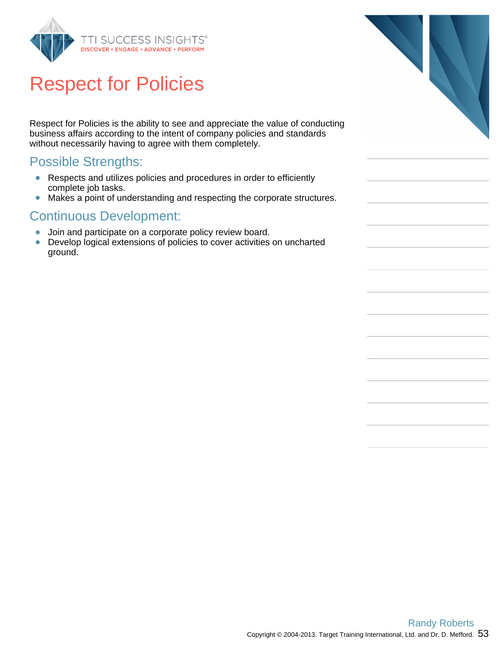

# Respect for Policies

Respect for Policies is the ability to see and appreciate the value of conducting business affairs according to the intent of company policies and standards without necessarily having to agree with them completely.

### Possible Strengths:

- Respects and utilizes policies and procedures in order to efficiently complete job tasks.
- Makes a point of understanding and respecting the corporate structures.  $\bullet$

- $\bullet$ Join and participate on a corporate policy review board.
- Develop logical extensions of policies to cover activities on uncharted  $\bullet$ ground.

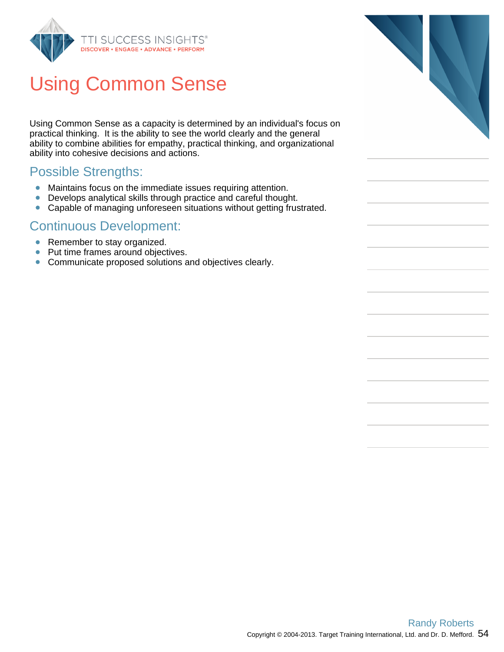

# Using Common Sense

Using Common Sense as a capacity is determined by an individual's focus on practical thinking. It is the ability to see the world clearly and the general ability to combine abilities for empathy, practical thinking, and organizational ability into cohesive decisions and actions.

### Possible Strengths:

- Maintains focus on the immediate issues requiring attention.
- Develops analytical skills through practice and careful thought.  $\bullet$
- $\bullet$ Capable of managing unforeseen situations without getting frustrated.

- Remember to stay organized.
- $\bullet$ Put time frames around objectives.
- Communicate proposed solutions and objectives clearly.

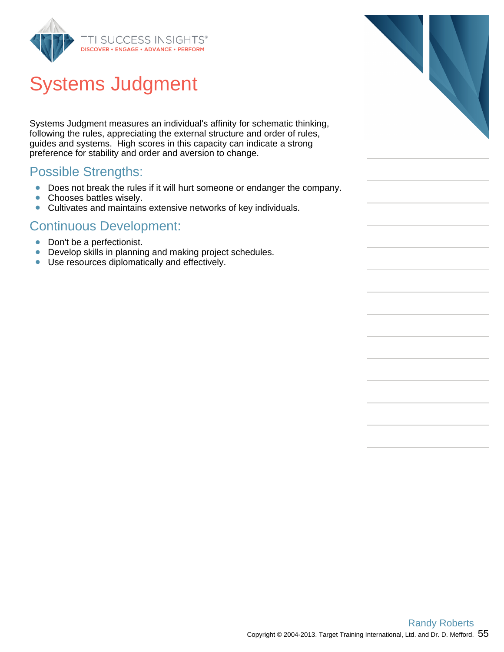

# Systems Judgment

Systems Judgment measures an individual's affinity for schematic thinking, following the rules, appreciating the external structure and order of rules, guides and systems. High scores in this capacity can indicate a strong preference for stability and order and aversion to change.

### Possible Strengths:

- Does not break the rules if it will hurt someone or endanger the company.
- $\bullet$ Chooses battles wisely.
- Cultivates and maintains extensive networks of key individuals.  $\bullet$

- Don't be a perfectionist.
- $\bullet$ Develop skills in planning and making project schedules.
- $\bullet$ Use resources diplomatically and effectively.

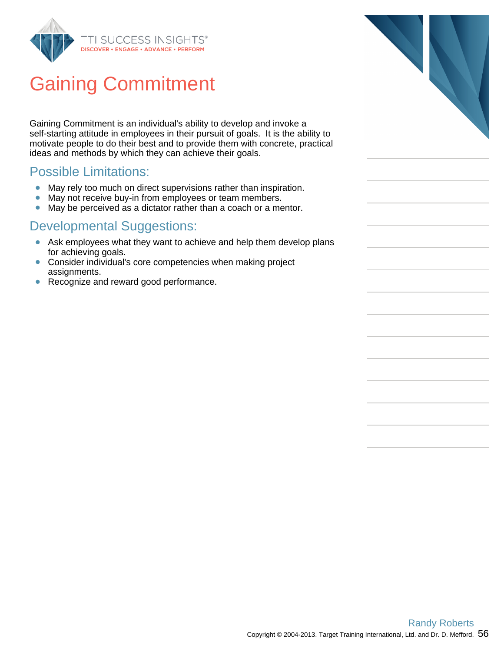

# Gaining Commitment

Gaining Commitment is an individual's ability to develop and invoke a self-starting attitude in employees in their pursuit of goals. It is the ability to motivate people to do their best and to provide them with concrete, practical ideas and methods by which they can achieve their goals.

### Possible Limitations:

- May rely too much on direct supervisions rather than inspiration.
- $\bullet$ May not receive buy-in from employees or team members.
- $\bullet$ May be perceived as a dictator rather than a coach or a mentor.

- Ask employees what they want to achieve and help them develop plans for achieving goals.
- Consider individual's core competencies when making project  $\bullet$ assignments.
- Recognize and reward good performance.  $\bullet$

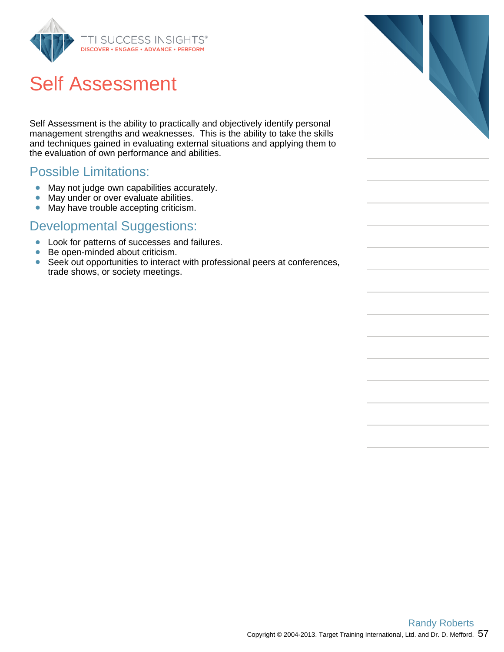

# Self Assessment

Self Assessment is the ability to practically and objectively identify personal management strengths and weaknesses. This is the ability to take the skills and techniques gained in evaluating external situations and applying them to the evaluation of own performance and abilities.

#### Possible Limitations:

- May not judge own capabilities accurately.
- $\bullet$ May under or over evaluate abilities.
- $\bullet$ May have trouble accepting criticism.

- Look for patterns of successes and failures.
- $\bullet$ Be open-minded about criticism.
- $\bullet$ Seek out opportunities to interact with professional peers at conferences, trade shows, or society meetings.

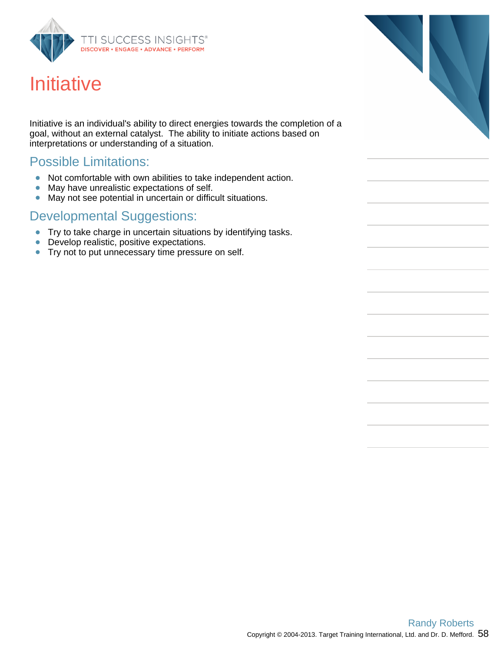

# **Initiative**

Initiative is an individual's ability to direct energies towards the completion of a goal, without an external catalyst. The ability to initiate actions based on interpretations or understanding of a situation.

### Possible Limitations:

- Not comfortable with own abilities to take independent action.  $\bullet$
- $\bullet$ May have unrealistic expectations of self.
- May not see potential in uncertain or difficult situations.  $\bullet$

- **Try to take charge in uncertain situations by identifying tasks.**
- Develop realistic, positive expectations.
- **•** Try not to put unnecessary time pressure on self.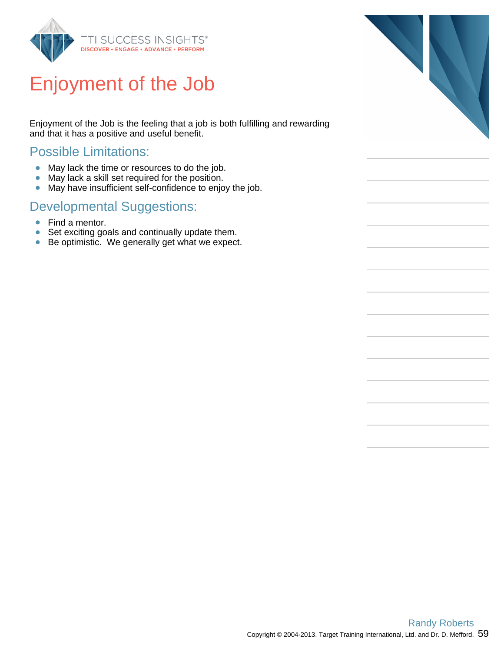

# Enjoyment of the Job

Enjoyment of the Job is the feeling that a job is both fulfilling and rewarding and that it has a positive and useful benefit.

### Possible Limitations:

- $\bullet$ May lack the time or resources to do the job.
- May lack a skill set required for the position.  $\bullet$
- May have insufficient self-confidence to enjoy the job.  $\bullet$

- Find a mentor.
- Set exciting goals and continually update them.  $\bullet$
- Be optimistic. We generally get what we expect.  $\bullet$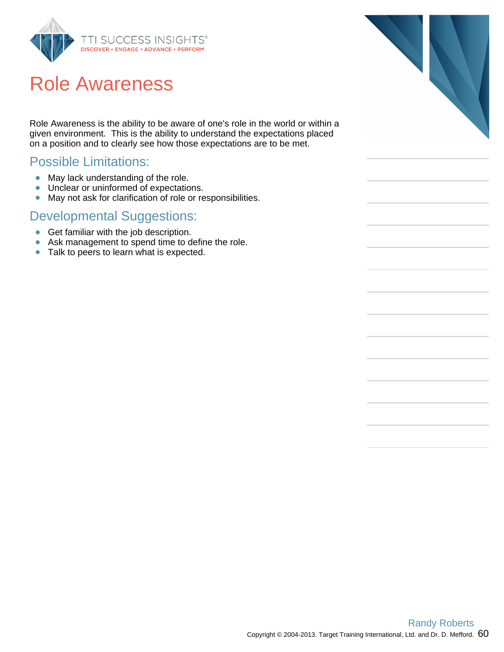

## Role Awareness

Role Awareness is the ability to be aware of one's role in the world or within a given environment. This is the ability to understand the expectations placed on a position and to clearly see how those expectations are to be met.

### Possible Limitations:

- May lack understanding of the role.  $\bullet$
- Unclear or uninformed of expectations.  $\bullet$
- May not ask for clarification of role or responsibilities.  $\bullet$

- Get familiar with the job description.
- Ask management to spend time to define the role.
- Talk to peers to learn what is expected.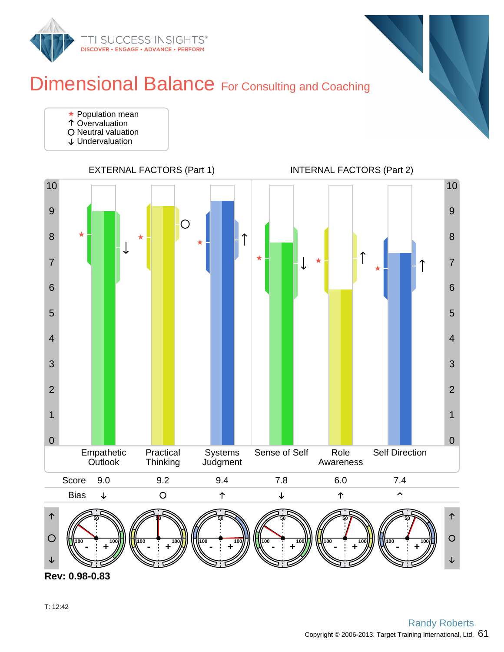

### Dimensional Balance For Consulting and Coaching

- **★ Population mean**
- Overvaluation O Neutral valuation
- 
- Undervaluation



**Rev: 0.98-0.83**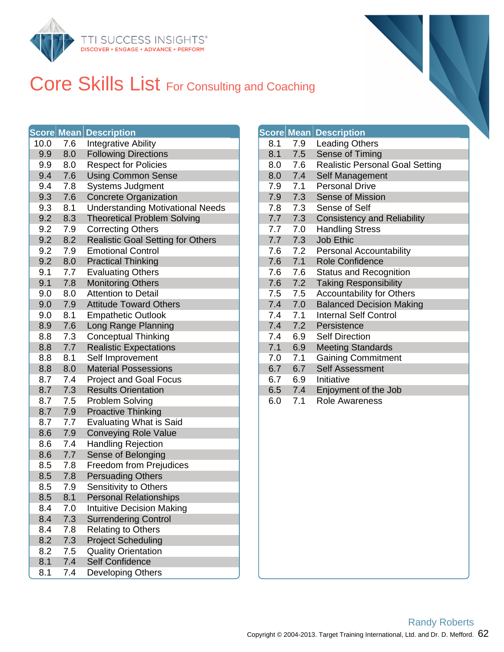

### Core Skills List For Consulting and Coaching

|      |     | <b>Score Mean Description</b>            |     |     | <b>Score Mean Description</b> |
|------|-----|------------------------------------------|-----|-----|-------------------------------|
| 10.0 | 7.6 | <b>Integrative Ability</b>               | 8.1 | 7.9 | <b>Leading Oth</b>            |
| 9.9  | 8.0 | <b>Following Directions</b>              | 8.1 | 7.5 | Sense of Tir                  |
| 9.9  | 8.0 | <b>Respect for Policies</b>              | 8.0 | 7.6 | Realistic Pe                  |
| 9.4  | 7.6 | <b>Using Common Sense</b>                | 8.0 | 7.4 | Self Manage                   |
| 9.4  | 7.8 | <b>Systems Judgment</b>                  | 7.9 | 7.1 | Personal Dri                  |
| 9.3  | 7.6 | <b>Concrete Organization</b>             | 7.9 | 7.3 | Sense of Mi                   |
| 9.3  | 8.1 | <b>Understanding Motivational Needs</b>  | 7.8 | 7.3 | Sense of Se                   |
| 9.2  | 8.3 | <b>Theoretical Problem Solving</b>       | 7.7 | 7.3 | Consistency                   |
| 9.2  | 7.9 | <b>Correcting Others</b>                 | 7.7 | 7.0 | <b>Handling Str</b>           |
| 9.2  | 8.2 | <b>Realistic Goal Setting for Others</b> | 7.7 | 7.3 | Job Ethic                     |
| 9.2  | 7.9 | <b>Emotional Control</b>                 | 7.6 | 7.2 | Personal Ac                   |
| 9.2  | 8.0 | <b>Practical Thinking</b>                | 7.6 | 7.1 | Role Confid                   |
| 9.1  | 7.7 | <b>Evaluating Others</b>                 | 7.6 | 7.6 | Status and F                  |
| 9.1  | 7.8 | <b>Monitoring Others</b>                 | 7.6 | 7.2 | <b>Taking Resp</b>            |
| 9.0  | 8.0 | <b>Attention to Detail</b>               | 7.5 | 7.5 | Accountabili                  |
| 9.0  | 7.9 | <b>Attitude Toward Others</b>            | 7.4 | 7.0 | <b>Balanced De</b>            |
| 9.0  | 8.1 | <b>Empathetic Outlook</b>                | 7.4 | 7.1 | <b>Internal Self</b>          |
| 8.9  | 7.6 | Long Range Planning                      | 7.4 | 7.2 | Persistence                   |
| 8.8  | 7.3 | <b>Conceptual Thinking</b>               | 7.4 | 6.9 | <b>Self Directio</b>          |
| 8.8  | 7.7 | <b>Realistic Expectations</b>            | 7.1 | 6.9 | <b>Meeting Sta</b>            |
| 8.8  | 8.1 | Self Improvement                         | 7.0 | 7.1 | <b>Gaining Cor</b>            |
| 8.8  | 8.0 | <b>Material Possessions</b>              | 6.7 | 6.7 | <b>Self Assessi</b>           |
| 8.7  | 7.4 | <b>Project and Goal Focus</b>            | 6.7 | 6.9 | Initiative                    |
| 8.7  | 7.3 | <b>Results Orientation</b>               | 6.5 | 7.4 | Enjoyment o                   |
| 8.7  | 7.5 | Problem Solving                          | 6.0 | 7.1 | <b>Role Awarer</b>            |
| 8.7  | 7.9 | <b>Proactive Thinking</b>                |     |     |                               |
| 8.7  | 7.7 | <b>Evaluating What is Said</b>           |     |     |                               |
| 8.6  | 7.9 | <b>Conveying Role Value</b>              |     |     |                               |
| 8.6  | 7.4 | <b>Handling Rejection</b>                |     |     |                               |
| 8.6  | 7.7 | Sense of Belonging                       |     |     |                               |
| 8.5  | 7.8 | Freedom from Prejudices                  |     |     |                               |
| 8.5  | 7.8 | <b>Persuading Others</b>                 |     |     |                               |
| 8.5  | 7.9 | Sensitivity to Others                    |     |     |                               |
| 8.5  | 8.1 | <b>Personal Relationships</b>            |     |     |                               |
| 8.4  | 7.0 | <b>Intuitive Decision Making</b>         |     |     |                               |
| 8.4  | 7.3 | <b>Surrendering Control</b>              |     |     |                               |
| 8.4  | 7.8 | <b>Relating to Others</b>                |     |     |                               |
| 8.2  | 7.3 | <b>Project Scheduling</b>                |     |     |                               |
| 8.2  | 7.5 | <b>Quality Orientation</b>               |     |     |                               |
| 8.1  | 7.4 | <b>Self Confidence</b>                   |     |     |                               |
| 8.1  | 7.4 | Developing Others                        |     |     |                               |

|     |     | Score Mean Description                 |
|-----|-----|----------------------------------------|
| 8.1 | 7.9 | <b>Leading Others</b>                  |
| 8.1 | 7.5 | Sense of Timing                        |
| 0.8 | 7.6 | <b>Realistic Personal Goal Setting</b> |
| 8.0 | 7.4 | Self Management                        |
| 7.9 | 7.1 | <b>Personal Drive</b>                  |
| 7.9 | 7.3 | Sense of Mission                       |
| 7.8 | 7.3 | Sense of Self                          |
| 7.7 | 7.3 | <b>Consistency and Reliability</b>     |
| 7.7 | 7.0 | <b>Handling Stress</b>                 |
| 7.7 | 7.3 | <b>Job Ethic</b>                       |
| 7.6 | 7.2 | <b>Personal Accountability</b>         |
| 7.6 | 7.1 | <b>Role Confidence</b>                 |
| 7.6 | 7.6 | <b>Status and Recognition</b>          |
| 7.6 | 7.2 | <b>Taking Responsibility</b>           |
| 7.5 | 7.5 | <b>Accountability for Others</b>       |
| 7.4 | 7.0 | <b>Balanced Decision Making</b>        |
| 7.4 | 7.1 | <b>Internal Self Control</b>           |
| 7.4 | 7.2 | Persistence                            |
| 7.4 | 6.9 | <b>Self Direction</b>                  |
| 7.1 | 6.9 | <b>Meeting Standards</b>               |
| 7.0 | 7.1 | <b>Gaining Commitment</b>              |
| 6.7 | 6.7 | <b>Self Assessment</b>                 |
| 6.7 | 6.9 | Initiative                             |
| 6.5 | 7.4 | Enjoyment of the Job                   |
| 6.0 | 7.1 | <b>Role Awareness</b>                  |
|     |     |                                        |
|     |     |                                        |
|     |     |                                        |
|     |     |                                        |
|     |     |                                        |
|     |     |                                        |
|     |     |                                        |
|     |     |                                        |
|     |     |                                        |
|     |     |                                        |
|     |     |                                        |
|     |     |                                        |
|     |     |                                        |